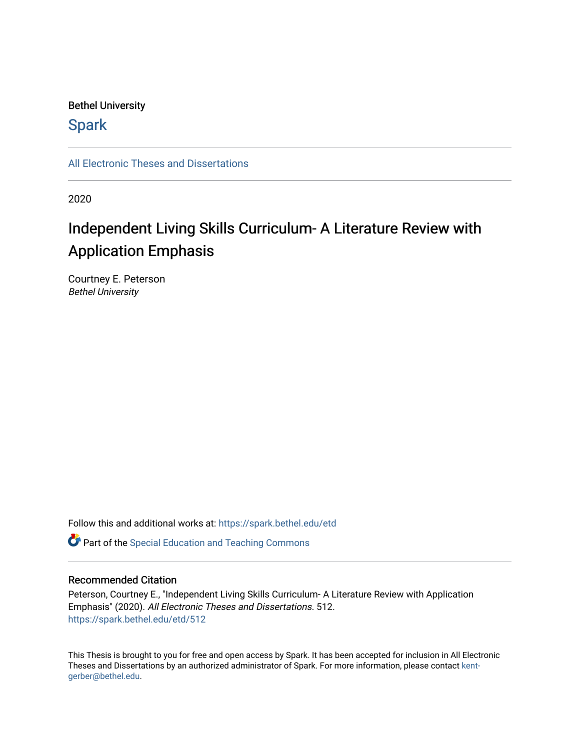## Bethel University

# **Spark**

[All Electronic Theses and Dissertations](https://spark.bethel.edu/etd) 

2020

# Independent Living Skills Curriculum- A Literature Review with Application Emphasis

Courtney E. Peterson Bethel University

Follow this and additional works at: [https://spark.bethel.edu/etd](https://spark.bethel.edu/etd?utm_source=spark.bethel.edu%2Fetd%2F512&utm_medium=PDF&utm_campaign=PDFCoverPages)

**C** Part of the Special Education and Teaching Commons

## Recommended Citation

Peterson, Courtney E., "Independent Living Skills Curriculum- A Literature Review with Application Emphasis" (2020). All Electronic Theses and Dissertations. 512. [https://spark.bethel.edu/etd/512](https://spark.bethel.edu/etd/512?utm_source=spark.bethel.edu%2Fetd%2F512&utm_medium=PDF&utm_campaign=PDFCoverPages)

This Thesis is brought to you for free and open access by Spark. It has been accepted for inclusion in All Electronic Theses and Dissertations by an authorized administrator of Spark. For more information, please contact [kent](mailto:kent-gerber@bethel.edu)[gerber@bethel.edu.](mailto:kent-gerber@bethel.edu)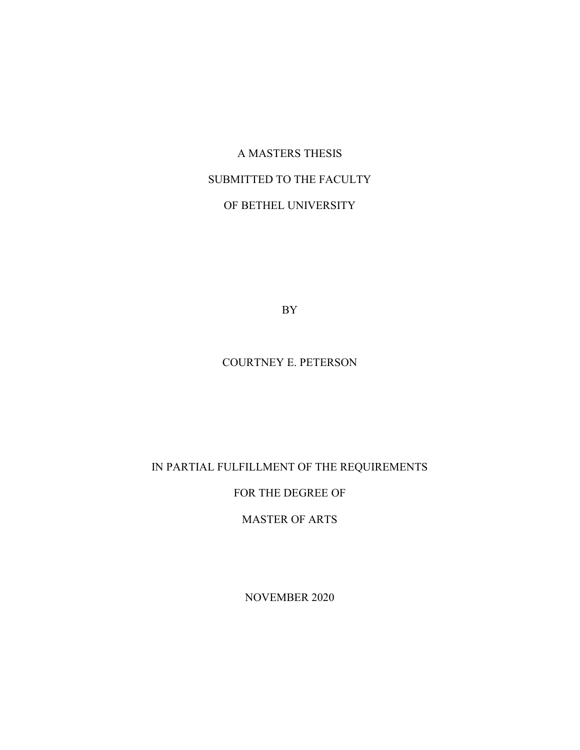# A MASTERS THESIS SUBMITTED TO THE FACULTY OF BETHEL UNIVERSITY

BY

## COURTNEY E. PETERSON

# IN PARTIAL FULFILLMENT OF THE REQUIREMENTS

## FOR THE DEGREE OF

MASTER OF ARTS

NOVEMBER 2020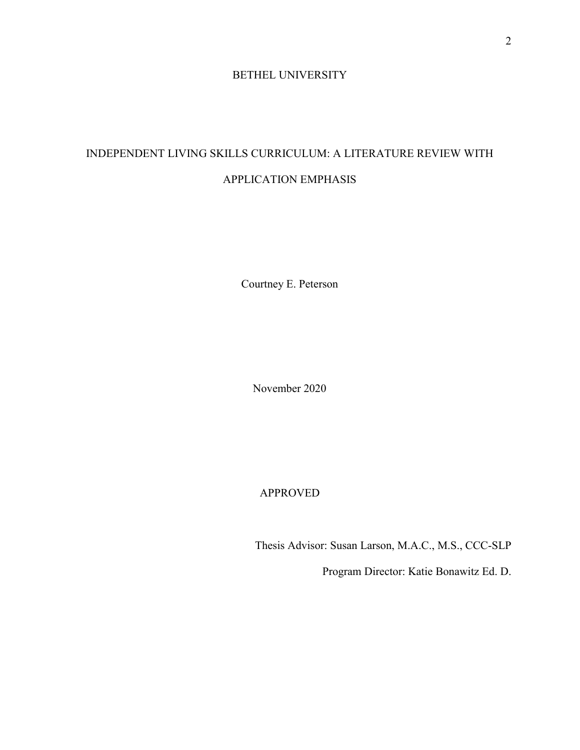## BETHEL UNIVERSITY

# INDEPENDENT LIVING SKILLS CURRICULUM: A LITERATURE REVIEW WITH APPLICATION EMPHASIS

Courtney E. Peterson

November 2020

APPROVED

Thesis Advisor: Susan Larson, M.A.C., M.S., CCC-SLP

Program Director: Katie Bonawitz Ed. D.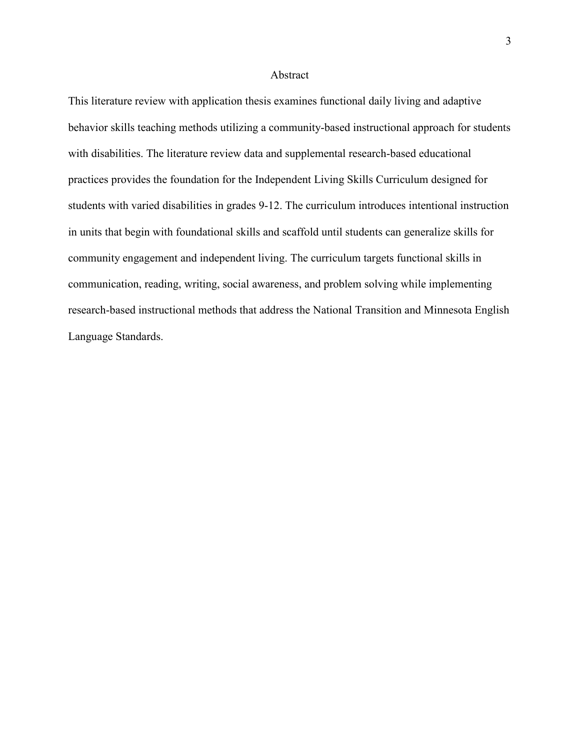#### Abstract

This literature review with application thesis examines functional daily living and adaptive behavior skills teaching methods utilizing a community-based instructional approach for students with disabilities. The literature review data and supplemental research-based educational practices provides the foundation for the Independent Living Skills Curriculum designed for students with varied disabilities in grades 9-12. The curriculum introduces intentional instruction in units that begin with foundational skills and scaffold until students can generalize skills for community engagement and independent living. The curriculum targets functional skills in communication, reading, writing, social awareness, and problem solving while implementing research-based instructional methods that address the National Transition and Minnesota English Language Standards.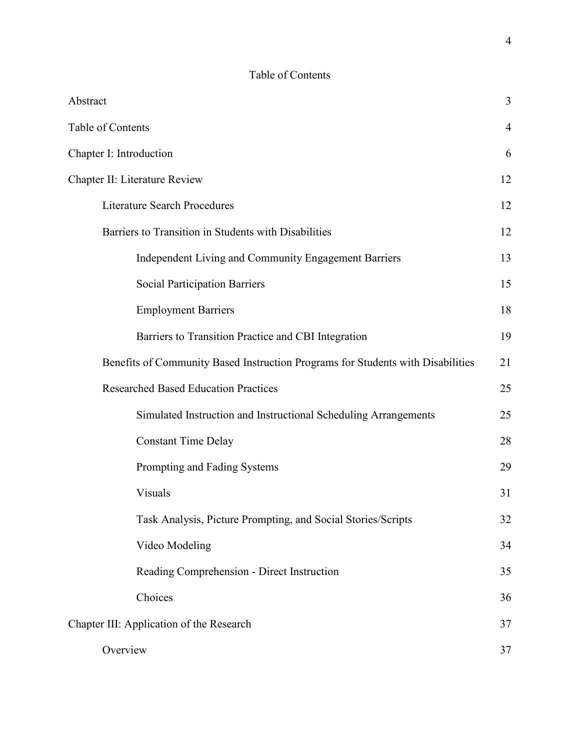# Table of Contents

| Abstract                                                                        | 3              |
|---------------------------------------------------------------------------------|----------------|
| Table of Contents                                                               | $\overline{4}$ |
| Chapter I: Introduction                                                         | 6              |
| Chapter II: Literature Review                                                   | 12             |
| <b>Literature Search Procedures</b>                                             | 12             |
| Barriers to Transition in Students with Disabilities                            | 12             |
| Independent Living and Community Engagement Barriers                            | 13             |
| <b>Social Participation Barriers</b>                                            | 15             |
| <b>Employment Barriers</b>                                                      | 18             |
| Barriers to Transition Practice and CBI Integration                             | 19             |
| Benefits of Community Based Instruction Programs for Students with Disabilities | 21             |
| <b>Researched Based Education Practices</b>                                     | 25             |
| Simulated Instruction and Instructional Scheduling Arrangements                 | 25             |
| <b>Constant Time Delay</b>                                                      | 28             |
| Prompting and Fading Systems                                                    | 29             |
| Visuals                                                                         | 31             |
| Task Analysis, Picture Prompting, and Social Stories/Scripts                    | 32             |
| Video Modeling                                                                  | 34             |
| Reading Comprehension - Direct Instruction                                      | 35             |
| Choices                                                                         | 36             |
| Chapter III: Application of the Research                                        | 37             |
| Overview                                                                        | 37             |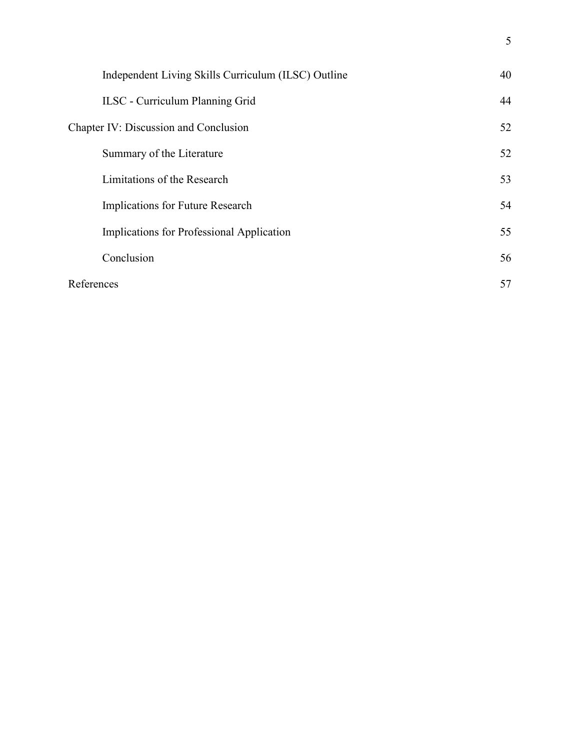| Independent Living Skills Curriculum (ILSC) Outline | 40 |
|-----------------------------------------------------|----|
| <b>ILSC</b> - Curriculum Planning Grid              | 44 |
| Chapter IV: Discussion and Conclusion               | 52 |
| Summary of the Literature                           | 52 |
| Limitations of the Research                         | 53 |
| Implications for Future Research                    | 54 |
| Implications for Professional Application           | 55 |
| Conclusion                                          | 56 |
| References                                          | 57 |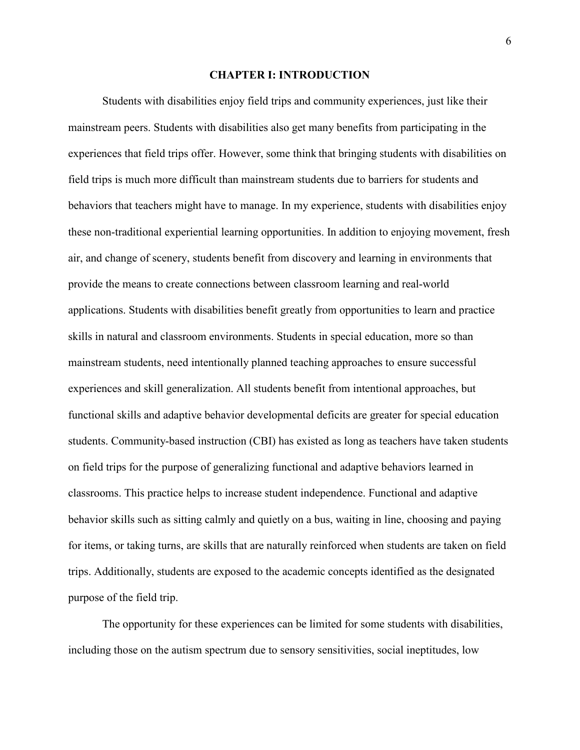#### **CHAPTER I: INTRODUCTION**

Students with disabilities enjoy field trips and community experiences, just like their mainstream peers. Students with disabilities also get many benefits from participating in the experiences that field trips offer. However, some think that bringing students with disabilities on field trips is much more difficult than mainstream students due to barriers for students and behaviors that teachers might have to manage. In my experience, students with disabilities enjoy these non-traditional experiential learning opportunities. In addition to enjoying movement, fresh air, and change of scenery, students benefit from discovery and learning in environments that provide the means to create connections between classroom learning and real-world applications. Students with disabilities benefit greatly from opportunities to learn and practice skills in natural and classroom environments. Students in special education, more so than mainstream students, need intentionally planned teaching approaches to ensure successful experiences and skill generalization. All students benefit from intentional approaches, but functional skills and adaptive behavior developmental deficits are greater for special education students. Community-based instruction (CBI) has existed as long as teachers have taken students on field trips for the purpose of generalizing functional and adaptive behaviors learned in classrooms. This practice helps to increase student independence. Functional and adaptive behavior skills such as sitting calmly and quietly on a bus, waiting in line, choosing and paying for items, or taking turns, are skills that are naturally reinforced when students are taken on field trips. Additionally, students are exposed to the academic concepts identified as the designated purpose of the field trip.

The opportunity for these experiences can be limited for some students with disabilities, including those on the autism spectrum due to sensory sensitivities, social ineptitudes, low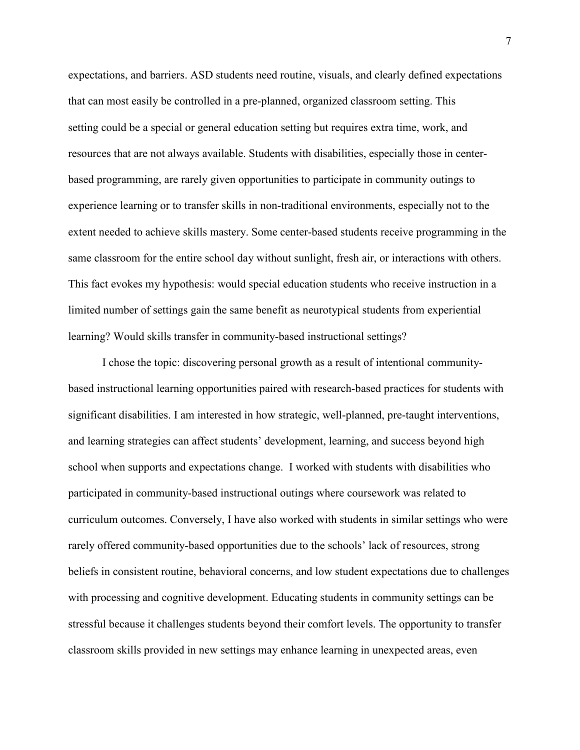expectations, and barriers. ASD students need routine, visuals, and clearly defined expectations that can most easily be controlled in a pre-planned, organized classroom setting. This setting could be a special or general education setting but requires extra time, work, and resources that are not always available. Students with disabilities, especially those in centerbased programming, are rarely given opportunities to participate in community outings to experience learning or to transfer skills in non-traditional environments, especially not to the extent needed to achieve skills mastery. Some center-based students receive programming in the same classroom for the entire school day without sunlight, fresh air, or interactions with others. This fact evokes my hypothesis: would special education students who receive instruction in a limited number of settings gain the same benefit as neurotypical students from experiential learning? Would skills transfer in community-based instructional settings?

I chose the topic: discovering personal growth as a result of intentional communitybased instructional learning opportunities paired with research-based practices for students with significant disabilities. I am interested in how strategic, well-planned, pre-taught interventions, and learning strategies can affect students' development, learning, and success beyond high school when supports and expectations change. I worked with students with disabilities who participated in community-based instructional outings where coursework was related to curriculum outcomes. Conversely, I have also worked with students in similar settings who were rarely offered community-based opportunities due to the schools' lack of resources, strong beliefs in consistent routine, behavioral concerns, and low student expectations due to challenges with processing and cognitive development. Educating students in community settings can be stressful because it challenges students beyond their comfort levels. The opportunity to transfer classroom skills provided in new settings may enhance learning in unexpected areas, even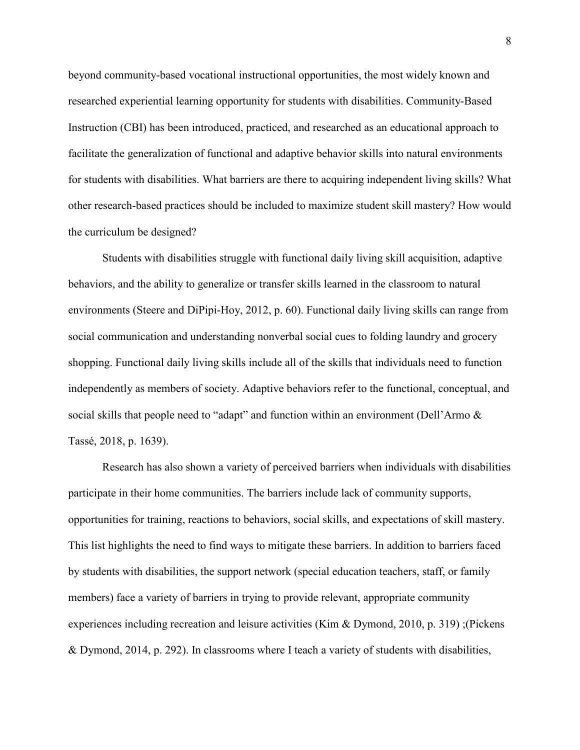beyond community-based vocational instructional opportunities, the most widely known and researched experiential learning opportunity for students with disabilities. Community-Based Instruction (CBI) has been introduced, practiced, and researched as an educational approach to facilitate the generalization of functional and adaptive behavior skills into natural environments for students with disabilities. What barriers are there to acquiring independent living skills? What other research-based practices should be included to maximize student skill mastery? How would the curriculum be designed?

Students with disabilities struggle with functional daily living skill acquisition, adaptive behaviors, and the ability to generalize or transfer skills learned in the classroom to natural environments (Steere and DiPipi-Hoy, 2012, p. 60). Functional daily living skills can range from social communication and understanding nonverbal social cues to folding laundry and grocery shopping. Functional daily living skills include all of the skills that individuals need to function independently as members of society. Adaptive behaviors refer to the functional, conceptual, and social skills that people need to "adapt" and function within an environment (Dell'Armo & Tassé, 2018, p. 1639).

Research has also shown a variety of perceived barriers when individuals with disabilities participate in their home communities. The barriers include lack of community supports, opportunities for training, reactions to behaviors, social skills, and expectations of skill mastery. This list highlights the need to find ways to mitigate these barriers. In addition to barriers faced by students with disabilities, the support network (special education teachers, staff, or family members) face a variety of barriers in trying to provide relevant, appropriate community experiences including recreation and leisure activities (Kim & Dymond, 2010, p. 319) ;(Pickens & Dymond, 2014, p. 292). In classrooms where I teach a variety of students with disabilities,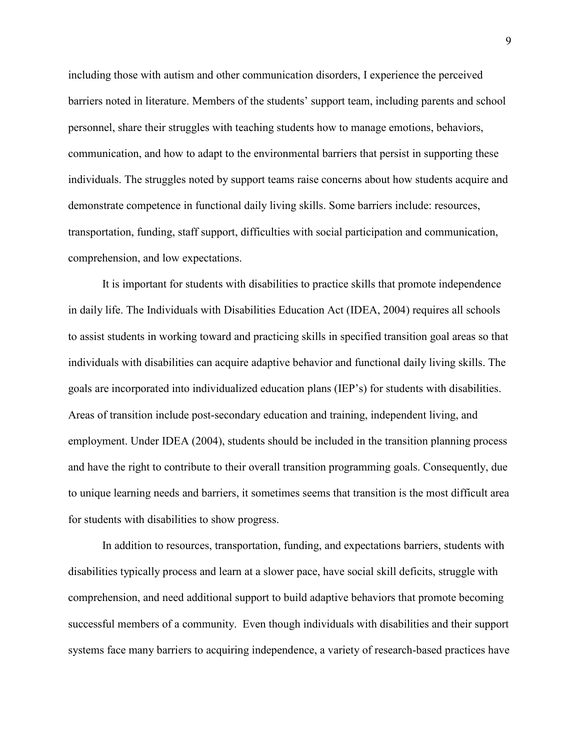including those with autism and other communication disorders, I experience the perceived barriers noted in literature. Members of the students' support team, including parents and school personnel, share their struggles with teaching students how to manage emotions, behaviors, communication, and how to adapt to the environmental barriers that persist in supporting these individuals. The struggles noted by support teams raise concerns about how students acquire and demonstrate competence in functional daily living skills. Some barriers include: resources, transportation, funding, staff support, difficulties with social participation and communication, comprehension, and low expectations.

It is important for students with disabilities to practice skills that promote independence in daily life. The Individuals with Disabilities Education Act (IDEA, 2004) requires all schools to assist students in working toward and practicing skills in specified transition goal areas so that individuals with disabilities can acquire adaptive behavior and functional daily living skills. The goals are incorporated into individualized education plans (IEP's) for students with disabilities. Areas of transition include post-secondary education and training, independent living, and employment. Under IDEA (2004), students should be included in the transition planning process and have the right to contribute to their overall transition programming goals. Consequently, due to unique learning needs and barriers, it sometimes seems that transition is the most difficult area for students with disabilities to show progress.

In addition to resources, transportation, funding, and expectations barriers, students with disabilities typically process and learn at a slower pace, have social skill deficits, struggle with comprehension, and need additional support to build adaptive behaviors that promote becoming successful members of a community. Even though individuals with disabilities and their support systems face many barriers to acquiring independence, a variety of research-based practices have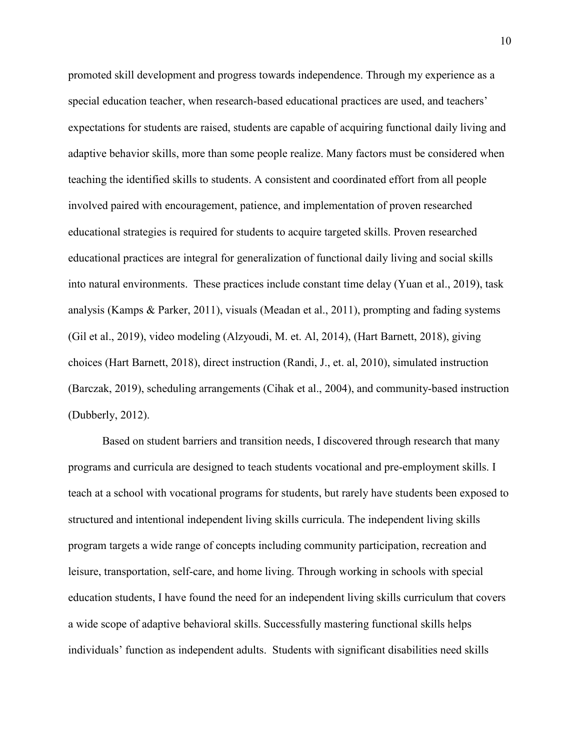promoted skill development and progress towards independence. Through my experience as a special education teacher, when research-based educational practices are used, and teachers' expectations for students are raised, students are capable of acquiring functional daily living and adaptive behavior skills, more than some people realize. Many factors must be considered when teaching the identified skills to students. A consistent and coordinated effort from all people involved paired with encouragement, patience, and implementation of proven researched educational strategies is required for students to acquire targeted skills. Proven researched educational practices are integral for generalization of functional daily living and social skills into natural environments. These practices include constant time delay (Yuan et al., 2019), task analysis (Kamps & Parker, 2011), visuals (Meadan et al., 2011), prompting and fading systems (Gil et al., 2019), video modeling (Alzyoudi, M. et. Al, 2014), (Hart Barnett, 2018), giving choices (Hart Barnett, 2018), direct instruction (Randi, J., et. al, 2010), simulated instruction (Barczak, 2019), scheduling arrangements (Cihak et al., 2004), and community-based instruction (Dubberly, 2012).

Based on student barriers and transition needs, I discovered through research that many programs and curricula are designed to teach students vocational and pre-employment skills. I teach at a school with vocational programs for students, but rarely have students been exposed to structured and intentional independent living skills curricula. The independent living skills program targets a wide range of concepts including community participation, recreation and leisure, transportation, self-care, and home living. Through working in schools with special education students, I have found the need for an independent living skills curriculum that covers a wide scope of adaptive behavioral skills. Successfully mastering functional skills helps individuals' function as independent adults. Students with significant disabilities need skills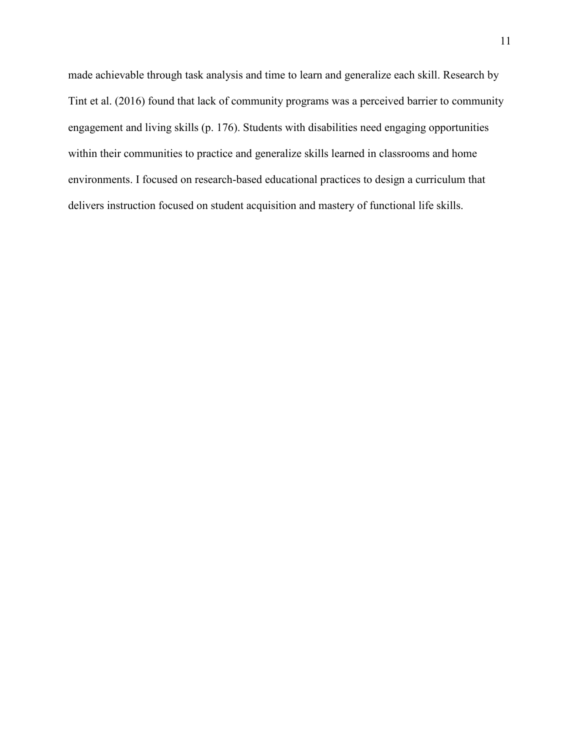made achievable through task analysis and time to learn and generalize each skill. Research by Tint et al. (2016) found that lack of community programs was a perceived barrier to community engagement and living skills (p. 176). Students with disabilities need engaging opportunities within their communities to practice and generalize skills learned in classrooms and home environments. I focused on research-based educational practices to design a curriculum that delivers instruction focused on student acquisition and mastery of functional life skills.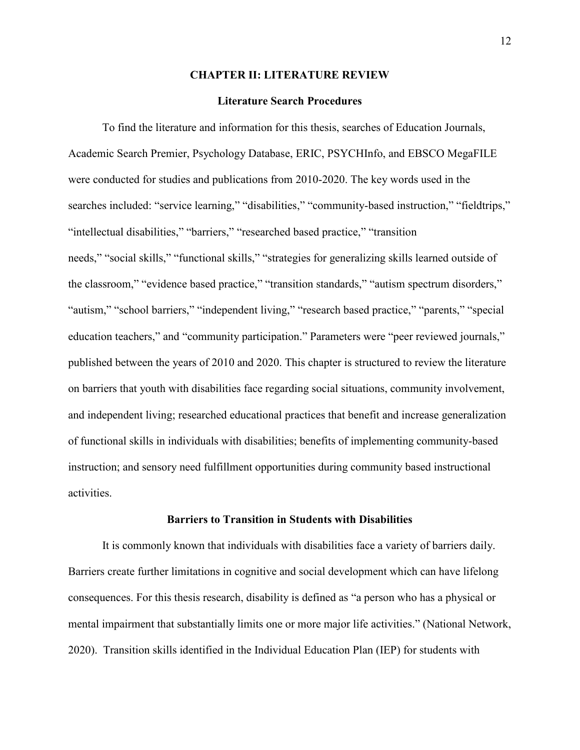#### **CHAPTER II: LITERATURE REVIEW**

#### **Literature Search Procedures**

To find the literature and information for this thesis, searches of Education Journals, Academic Search Premier, Psychology Database, ERIC, PSYCHInfo, and EBSCO MegaFILE were conducted for studies and publications from 2010-2020. The key words used in the searches included: "service learning," "disabilities," "community-based instruction," "fieldtrips," "intellectual disabilities," "barriers," "researched based practice," "transition needs," "social skills," "functional skills," "strategies for generalizing skills learned outside of the classroom," "evidence based practice," "transition standards," "autism spectrum disorders," "autism," "school barriers," "independent living," "research based practice," "parents," "special education teachers," and "community participation." Parameters were "peer reviewed journals," published between the years of 2010 and 2020. This chapter is structured to review the literature on barriers that youth with disabilities face regarding social situations, community involvement, and independent living; researched educational practices that benefit and increase generalization of functional skills in individuals with disabilities; benefits of implementing community-based instruction; and sensory need fulfillment opportunities during community based instructional activities.

#### **Barriers to Transition in Students with Disabilities**

It is commonly known that individuals with disabilities face a variety of barriers daily. Barriers create further limitations in cognitive and social development which can have lifelong consequences. For this thesis research, disability is defined as "a person who has a physical or mental impairment that substantially limits one or more major life activities." (National Network, 2020). Transition skills identified in the Individual Education Plan (IEP) for students with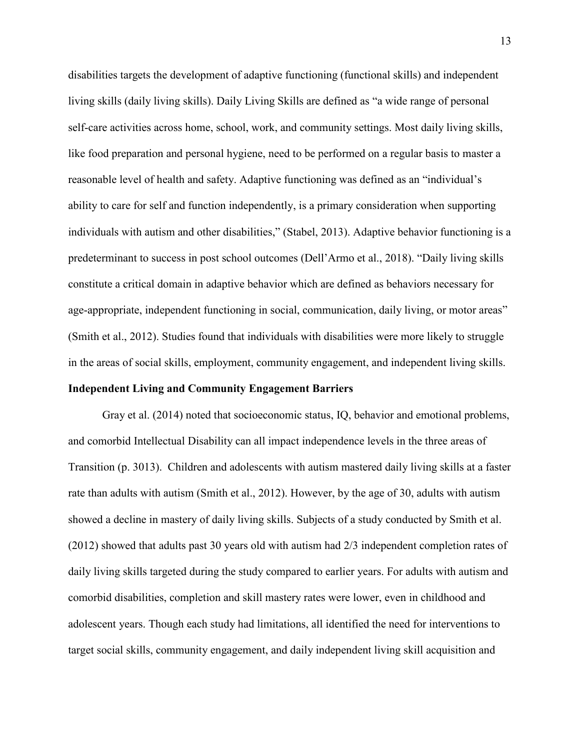disabilities targets the development of adaptive functioning (functional skills) and independent living skills (daily living skills). Daily Living Skills are defined as "a wide range of personal self-care activities across home, school, work, and community settings. Most daily living skills, like food preparation and personal hygiene, need to be performed on a regular basis to master a reasonable level of health and safety. Adaptive functioning was defined as an "individual's ability to care for self and function independently, is a primary consideration when supporting individuals with autism and other disabilities," (Stabel, 2013). Adaptive behavior functioning is a predeterminant to success in post school outcomes (Dell'Armo et al., 2018). "Daily living skills constitute a critical domain in adaptive behavior which are defined as behaviors necessary for age-appropriate, independent functioning in social, communication, daily living, or motor areas" (Smith et al., 2012). Studies found that individuals with disabilities were more likely to struggle in the areas of social skills, employment, community engagement, and independent living skills.

# **Independent Living and Community Engagement Barriers**

Gray et al. (2014) noted that socioeconomic status, IQ, behavior and emotional problems, and comorbid Intellectual Disability can all impact independence levels in the three areas of Transition (p. 3013). Children and adolescents with autism mastered daily living skills at a faster rate than adults with autism (Smith et al., 2012). However, by the age of 30, adults with autism showed a decline in mastery of daily living skills. Subjects of a study conducted by Smith et al. (2012) showed that adults past 30 years old with autism had 2/3 independent completion rates of daily living skills targeted during the study compared to earlier years. For adults with autism and comorbid disabilities, completion and skill mastery rates were lower, even in childhood and adolescent years. Though each study had limitations, all identified the need for interventions to target social skills, community engagement, and daily independent living skill acquisition and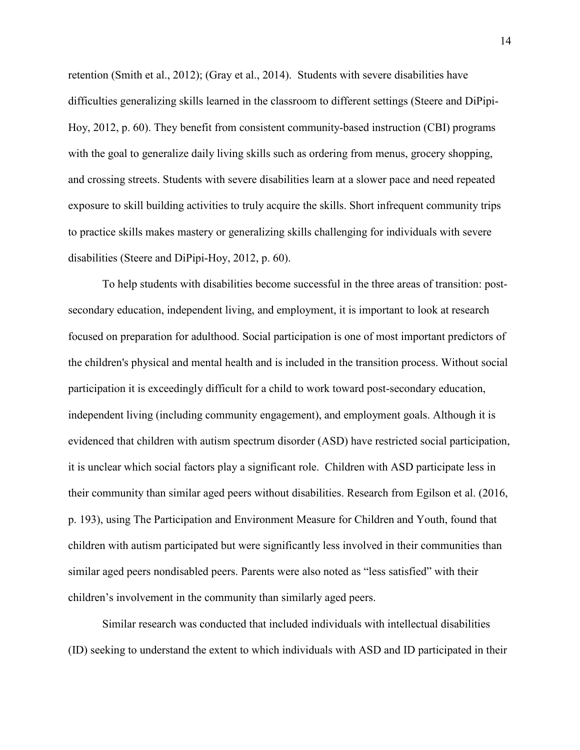retention (Smith et al., 2012); (Gray et al., 2014). Students with severe disabilities have difficulties generalizing skills learned in the classroom to different settings (Steere and DiPipi-Hoy, 2012, p. 60). They benefit from consistent community-based instruction (CBI) programs with the goal to generalize daily living skills such as ordering from menus, grocery shopping, and crossing streets. Students with severe disabilities learn at a slower pace and need repeated exposure to skill building activities to truly acquire the skills. Short infrequent community trips to practice skills makes mastery or generalizing skills challenging for individuals with severe disabilities (Steere and DiPipi-Hoy, 2012, p. 60).

To help students with disabilities become successful in the three areas of transition: postsecondary education, independent living, and employment, it is important to look at research focused on preparation for adulthood. Social participation is one of most important predictors of the children's physical and mental health and is included in the transition process. Without social participation it is exceedingly difficult for a child to work toward post-secondary education, independent living (including community engagement), and employment goals. Although it is evidenced that children with autism spectrum disorder (ASD) have restricted social participation, it is unclear which social factors play a significant role. Children with ASD participate less in their community than similar aged peers without disabilities. Research from Egilson et al. (2016, p. 193), using The Participation and Environment Measure for Children and Youth, found that children with autism participated but were significantly less involved in their communities than similar aged peers nondisabled peers. Parents were also noted as "less satisfied" with their children's involvement in the community than similarly aged peers.

Similar research was conducted that included individuals with intellectual disabilities (ID) seeking to understand the extent to which individuals with ASD and ID participated in their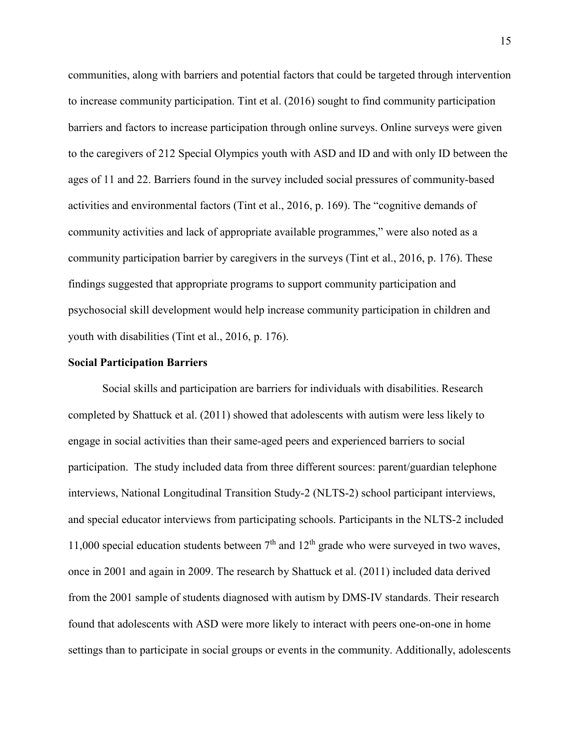communities, along with barriers and potential factors that could be targeted through intervention to increase community participation. Tint et al. (2016) sought to find community participation barriers and factors to increase participation through online surveys. Online surveys were given to the caregivers of 212 Special Olympics youth with ASD and ID and with only ID between the ages of 11 and 22. Barriers found in the survey included social pressures of community-based activities and environmental factors (Tint et al., 2016, p. 169). The "cognitive demands of community activities and lack of appropriate available programmes," were also noted as a community participation barrier by caregivers in the surveys (Tint et al., 2016, p. 176). These findings suggested that appropriate programs to support community participation and psychosocial skill development would help increase community participation in children and youth with disabilities (Tint et al., 2016, p. 176).

## **Social Participation Barriers**

Social skills and participation are barriers for individuals with disabilities. Research completed by Shattuck et al. (2011) showed that adolescents with autism were less likely to engage in social activities than their same-aged peers and experienced barriers to social participation. The study included data from three different sources: parent/guardian telephone interviews, National Longitudinal Transition Study-2 (NLTS-2) school participant interviews, and special educator interviews from participating schools. Participants in the NLTS-2 included 11,000 special education students between  $7<sup>th</sup>$  and  $12<sup>th</sup>$  grade who were surveyed in two waves, once in 2001 and again in 2009. The research by Shattuck et al. (2011) included data derived from the 2001 sample of students diagnosed with autism by DMS-IV standards. Their research found that adolescents with ASD were more likely to interact with peers one-on-one in home settings than to participate in social groups or events in the community. Additionally, adolescents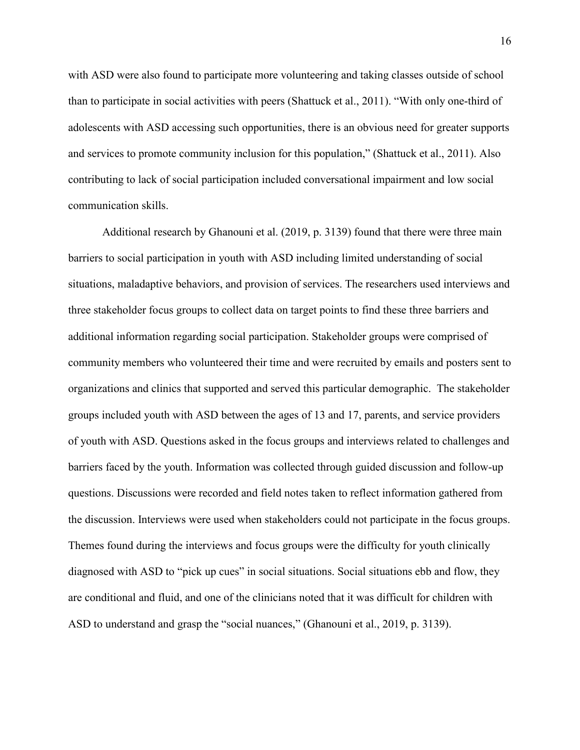with ASD were also found to participate more volunteering and taking classes outside of school than to participate in social activities with peers (Shattuck et al., 2011). "With only one-third of adolescents with ASD accessing such opportunities, there is an obvious need for greater supports and services to promote community inclusion for this population," (Shattuck et al., 2011). Also contributing to lack of social participation included conversational impairment and low social communication skills.

Additional research by Ghanouni et al. (2019, p. 3139) found that there were three main barriers to social participation in youth with ASD including limited understanding of social situations, maladaptive behaviors, and provision of services. The researchers used interviews and three stakeholder focus groups to collect data on target points to find these three barriers and additional information regarding social participation. Stakeholder groups were comprised of community members who volunteered their time and were recruited by emails and posters sent to organizations and clinics that supported and served this particular demographic. The stakeholder groups included youth with ASD between the ages of 13 and 17, parents, and service providers of youth with ASD. Questions asked in the focus groups and interviews related to challenges and barriers faced by the youth. Information was collected through guided discussion and follow-up questions. Discussions were recorded and field notes taken to reflect information gathered from the discussion. Interviews were used when stakeholders could not participate in the focus groups. Themes found during the interviews and focus groups were the difficulty for youth clinically diagnosed with ASD to "pick up cues" in social situations. Social situations ebb and flow, they are conditional and fluid, and one of the clinicians noted that it was difficult for children with ASD to understand and grasp the "social nuances," (Ghanouni et al., 2019, p. 3139).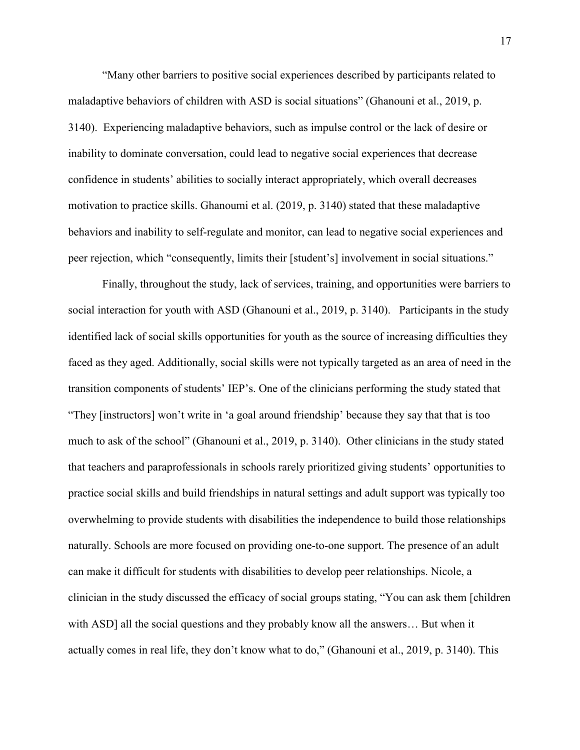"Many other barriers to positive social experiences described by participants related to maladaptive behaviors of children with ASD is social situations" (Ghanouni et al., 2019, p. 3140). Experiencing maladaptive behaviors, such as impulse control or the lack of desire or inability to dominate conversation, could lead to negative social experiences that decrease confidence in students' abilities to socially interact appropriately, which overall decreases motivation to practice skills. Ghanoumi et al. (2019, p. 3140) stated that these maladaptive behaviors and inability to self-regulate and monitor, can lead to negative social experiences and peer rejection, which "consequently, limits their [student's] involvement in social situations."

Finally, throughout the study, lack of services, training, and opportunities were barriers to social interaction for youth with ASD (Ghanouni et al., 2019, p. 3140). Participants in the study identified lack of social skills opportunities for youth as the source of increasing difficulties they faced as they aged. Additionally, social skills were not typically targeted as an area of need in the transition components of students' IEP's. One of the clinicians performing the study stated that "They [instructors] won't write in 'a goal around friendship' because they say that that is too much to ask of the school" (Ghanouni et al., 2019, p. 3140). Other clinicians in the study stated that teachers and paraprofessionals in schools rarely prioritized giving students' opportunities to practice social skills and build friendships in natural settings and adult support was typically too overwhelming to provide students with disabilities the independence to build those relationships naturally. Schools are more focused on providing one-to-one support. The presence of an adult can make it difficult for students with disabilities to develop peer relationships. Nicole, a clinician in the study discussed the efficacy of social groups stating, "You can ask them [children with ASD] all the social questions and they probably know all the answers... But when it actually comes in real life, they don't know what to do," (Ghanouni et al., 2019, p. 3140). This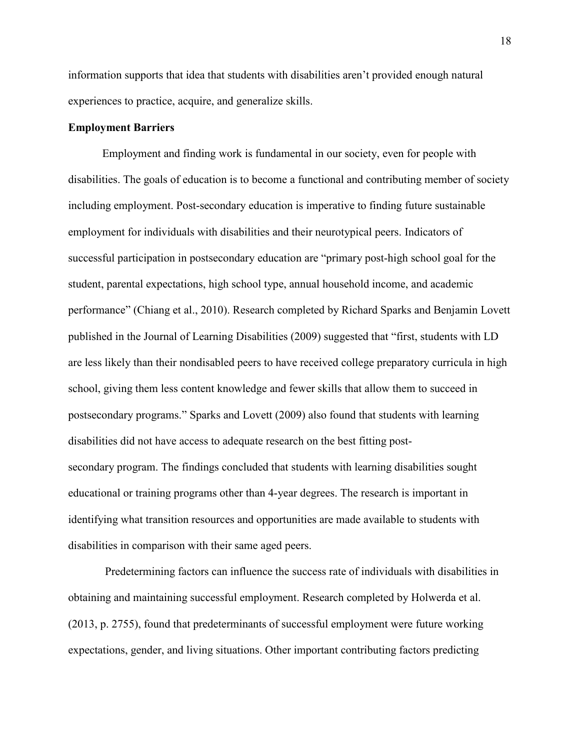information supports that idea that students with disabilities aren't provided enough natural experiences to practice, acquire, and generalize skills.

## **Employment Barriers**

Employment and finding work is fundamental in our society, even for people with disabilities. The goals of education is to become a functional and contributing member of society including employment. Post-secondary education is imperative to finding future sustainable employment for individuals with disabilities and their neurotypical peers. Indicators of successful participation in postsecondary education are "primary post-high school goal for the student, parental expectations, high school type, annual household income, and academic performance" (Chiang et al., 2010). Research completed by Richard Sparks and Benjamin Lovett published in the Journal of Learning Disabilities (2009) suggested that "first, students with LD are less likely than their nondisabled peers to have received college preparatory curricula in high school, giving them less content knowledge and fewer skills that allow them to succeed in postsecondary programs." Sparks and Lovett (2009) also found that students with learning disabilities did not have access to adequate research on the best fitting postsecondary program. The findings concluded that students with learning disabilities sought educational or training programs other than 4-year degrees. The research is important in identifying what transition resources and opportunities are made available to students with disabilities in comparison with their same aged peers.

 Predetermining factors can influence the success rate of individuals with disabilities in obtaining and maintaining successful employment. Research completed by Holwerda et al. (2013, p. 2755), found that predeterminants of successful employment were future working expectations, gender, and living situations. Other important contributing factors predicting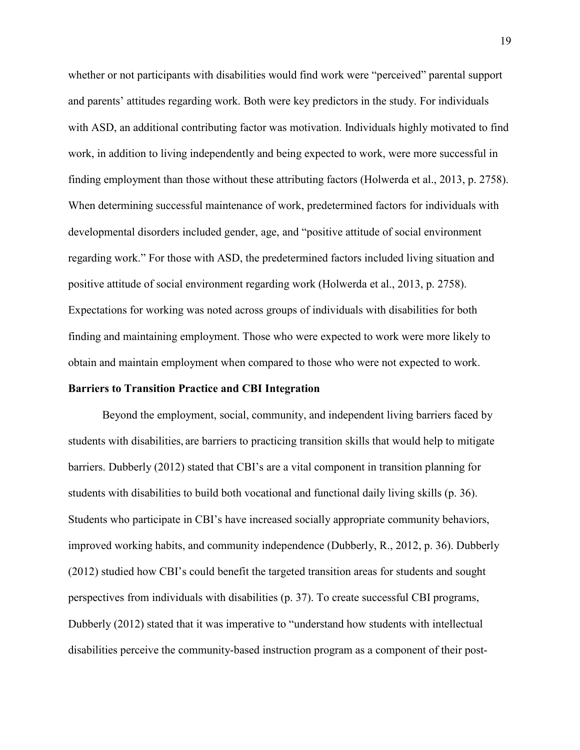whether or not participants with disabilities would find work were "perceived" parental support and parents' attitudes regarding work. Both were key predictors in the study. For individuals with ASD, an additional contributing factor was motivation. Individuals highly motivated to find work, in addition to living independently and being expected to work, were more successful in finding employment than those without these attributing factors (Holwerda et al., 2013, p. 2758). When determining successful maintenance of work, predetermined factors for individuals with developmental disorders included gender, age, and "positive attitude of social environment regarding work." For those with ASD, the predetermined factors included living situation and positive attitude of social environment regarding work (Holwerda et al., 2013, p. 2758). Expectations for working was noted across groups of individuals with disabilities for both finding and maintaining employment. Those who were expected to work were more likely to obtain and maintain employment when compared to those who were not expected to work.

#### **Barriers to Transition Practice and CBI Integration**

Beyond the employment, social, community, and independent living barriers faced by students with disabilities, are barriers to practicing transition skills that would help to mitigate barriers. Dubberly (2012) stated that CBI's are a vital component in transition planning for students with disabilities to build both vocational and functional daily living skills (p. 36). Students who participate in CBI's have increased socially appropriate community behaviors, improved working habits, and community independence (Dubberly, R., 2012, p. 36). Dubberly (2012) studied how CBI's could benefit the targeted transition areas for students and sought perspectives from individuals with disabilities (p. 37). To create successful CBI programs, Dubberly (2012) stated that it was imperative to "understand how students with intellectual disabilities perceive the community-based instruction program as a component of their post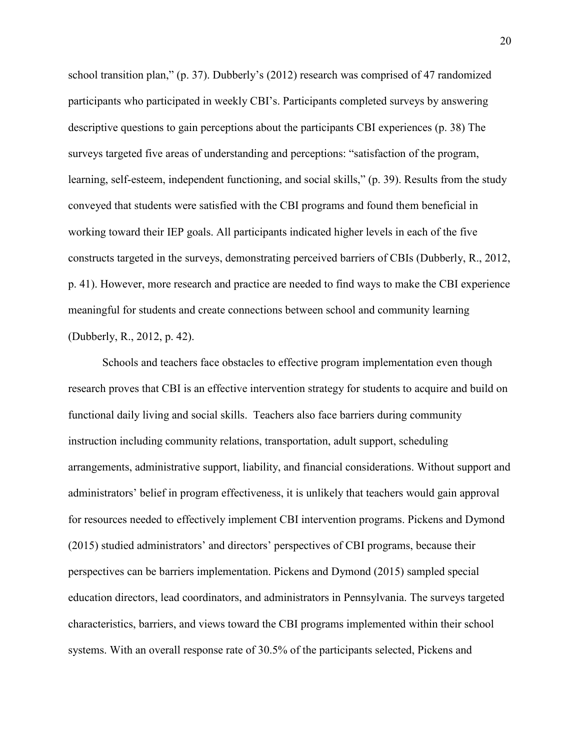school transition plan," (p. 37). Dubberly's (2012) research was comprised of 47 randomized participants who participated in weekly CBI's. Participants completed surveys by answering descriptive questions to gain perceptions about the participants CBI experiences (p. 38) The surveys targeted five areas of understanding and perceptions: "satisfaction of the program, learning, self-esteem, independent functioning, and social skills," (p. 39). Results from the study conveyed that students were satisfied with the CBI programs and found them beneficial in working toward their IEP goals. All participants indicated higher levels in each of the five constructs targeted in the surveys, demonstrating perceived barriers of CBIs (Dubberly, R., 2012, p. 41). However, more research and practice are needed to find ways to make the CBI experience meaningful for students and create connections between school and community learning (Dubberly, R., 2012, p. 42).

Schools and teachers face obstacles to effective program implementation even though research proves that CBI is an effective intervention strategy for students to acquire and build on functional daily living and social skills. Teachers also face barriers during community instruction including community relations, transportation, adult support, scheduling arrangements, administrative support, liability, and financial considerations. Without support and administrators' belief in program effectiveness, it is unlikely that teachers would gain approval for resources needed to effectively implement CBI intervention programs. Pickens and Dymond (2015) studied administrators' and directors' perspectives of CBI programs, because their perspectives can be barriers implementation. Pickens and Dymond (2015) sampled special education directors, lead coordinators, and administrators in Pennsylvania. The surveys targeted characteristics, barriers, and views toward the CBI programs implemented within their school systems. With an overall response rate of 30.5% of the participants selected, Pickens and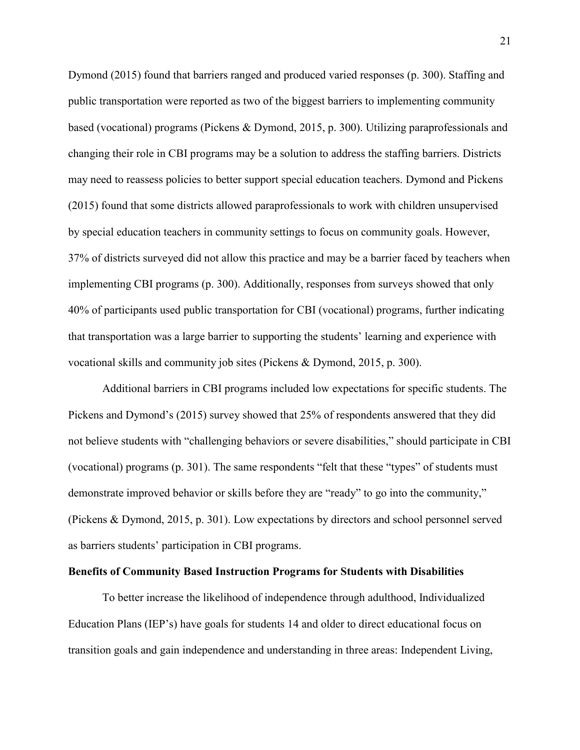Dymond (2015) found that barriers ranged and produced varied responses (p. 300). Staffing and public transportation were reported as two of the biggest barriers to implementing community based (vocational) programs (Pickens & Dymond, 2015, p. 300). Utilizing paraprofessionals and changing their role in CBI programs may be a solution to address the staffing barriers. Districts may need to reassess policies to better support special education teachers. Dymond and Pickens (2015) found that some districts allowed paraprofessionals to work with children unsupervised by special education teachers in community settings to focus on community goals. However, 37% of districts surveyed did not allow this practice and may be a barrier faced by teachers when implementing CBI programs (p. 300). Additionally, responses from surveys showed that only 40% of participants used public transportation for CBI (vocational) programs, further indicating that transportation was a large barrier to supporting the students' learning and experience with vocational skills and community job sites (Pickens & Dymond, 2015, p. 300).

 Additional barriers in CBI programs included low expectations for specific students. The Pickens and Dymond's (2015) survey showed that 25% of respondents answered that they did not believe students with "challenging behaviors or severe disabilities," should participate in CBI (vocational) programs (p. 301). The same respondents "felt that these "types" of students must demonstrate improved behavior or skills before they are "ready" to go into the community," (Pickens & Dymond, 2015, p. 301). Low expectations by directors and school personnel served as barriers students' participation in CBI programs.

#### **Benefits of Community Based Instruction Programs for Students with Disabilities**

To better increase the likelihood of independence through adulthood, Individualized Education Plans (IEP's) have goals for students 14 and older to direct educational focus on transition goals and gain independence and understanding in three areas: Independent Living,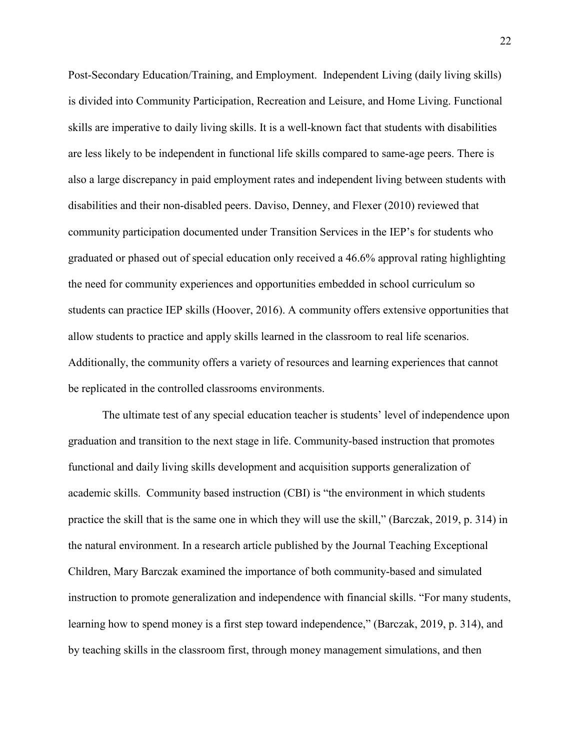Post-Secondary Education/Training, and Employment. Independent Living (daily living skills) is divided into Community Participation, Recreation and Leisure, and Home Living. Functional skills are imperative to daily living skills. It is a well-known fact that students with disabilities are less likely to be independent in functional life skills compared to same-age peers. There is also a large discrepancy in paid employment rates and independent living between students with disabilities and their non-disabled peers. Daviso, Denney, and Flexer (2010) reviewed that community participation documented under Transition Services in the IEP's for students who graduated or phased out of special education only received a 46.6% approval rating highlighting the need for community experiences and opportunities embedded in school curriculum so students can practice IEP skills (Hoover, 2016). A community offers extensive opportunities that allow students to practice and apply skills learned in the classroom to real life scenarios. Additionally, the community offers a variety of resources and learning experiences that cannot be replicated in the controlled classrooms environments.

The ultimate test of any special education teacher is students' level of independence upon graduation and transition to the next stage in life. Community-based instruction that promotes functional and daily living skills development and acquisition supports generalization of academic skills. Community based instruction (CBI) is "the environment in which students practice the skill that is the same one in which they will use the skill," (Barczak, 2019, p. 314) in the natural environment. In a research article published by the Journal Teaching Exceptional Children, Mary Barczak examined the importance of both community-based and simulated instruction to promote generalization and independence with financial skills. "For many students, learning how to spend money is a first step toward independence," (Barczak, 2019, p. 314), and by teaching skills in the classroom first, through money management simulations, and then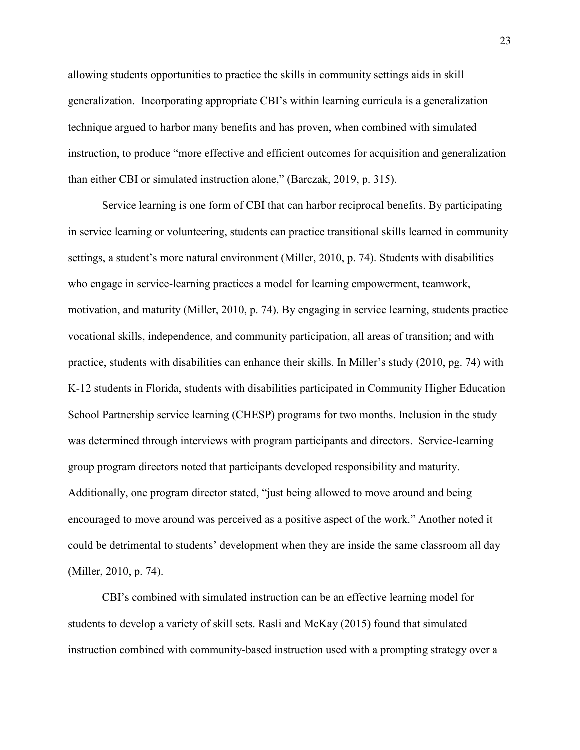allowing students opportunities to practice the skills in community settings aids in skill generalization. Incorporating appropriate CBI's within learning curricula is a generalization technique argued to harbor many benefits and has proven, when combined with simulated instruction, to produce "more effective and efficient outcomes for acquisition and generalization than either CBI or simulated instruction alone," (Barczak, 2019, p. 315).

Service learning is one form of CBI that can harbor reciprocal benefits. By participating in service learning or volunteering, students can practice transitional skills learned in community settings, a student's more natural environment (Miller, 2010, p. 74). Students with disabilities who engage in service-learning practices a model for learning empowerment, teamwork, motivation, and maturity (Miller, 2010, p. 74). By engaging in service learning, students practice vocational skills, independence, and community participation, all areas of transition; and with practice, students with disabilities can enhance their skills. In Miller's study (2010, pg. 74) with K-12 students in Florida, students with disabilities participated in Community Higher Education School Partnership service learning (CHESP) programs for two months. Inclusion in the study was determined through interviews with program participants and directors. Service-learning group program directors noted that participants developed responsibility and maturity. Additionally, one program director stated, "just being allowed to move around and being encouraged to move around was perceived as a positive aspect of the work." Another noted it could be detrimental to students' development when they are inside the same classroom all day (Miller, 2010, p. 74).

CBI's combined with simulated instruction can be an effective learning model for students to develop a variety of skill sets. Rasli and McKay (2015) found that simulated instruction combined with community-based instruction used with a prompting strategy over a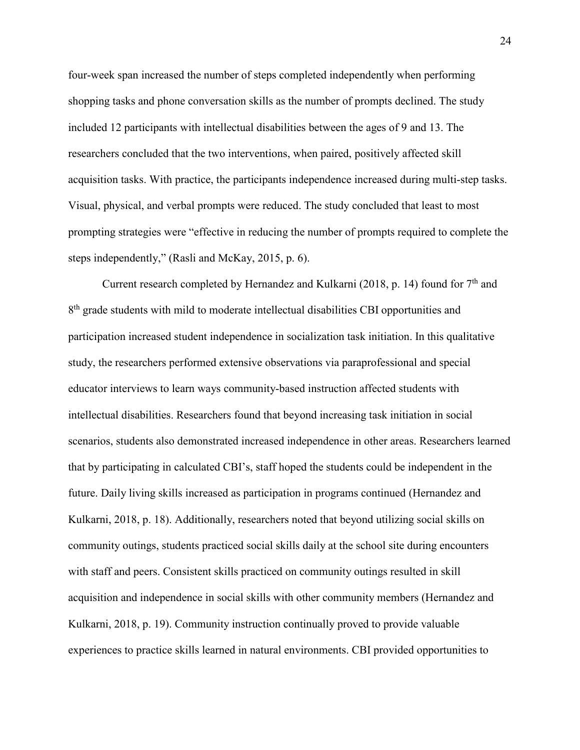four-week span increased the number of steps completed independently when performing shopping tasks and phone conversation skills as the number of prompts declined. The study included 12 participants with intellectual disabilities between the ages of 9 and 13. The researchers concluded that the two interventions, when paired, positively affected skill acquisition tasks. With practice, the participants independence increased during multi-step tasks. Visual, physical, and verbal prompts were reduced. The study concluded that least to most prompting strategies were "effective in reducing the number of prompts required to complete the steps independently," (Rasli and McKay, 2015, p. 6).

Current research completed by Hernandez and Kulkarni (2018, p. 14) found for 7<sup>th</sup> and 8<sup>th</sup> grade students with mild to moderate intellectual disabilities CBI opportunities and participation increased student independence in socialization task initiation. In this qualitative study, the researchers performed extensive observations via paraprofessional and special educator interviews to learn ways community-based instruction affected students with intellectual disabilities. Researchers found that beyond increasing task initiation in social scenarios, students also demonstrated increased independence in other areas. Researchers learned that by participating in calculated CBI's, staff hoped the students could be independent in the future. Daily living skills increased as participation in programs continued (Hernandez and Kulkarni, 2018, p. 18). Additionally, researchers noted that beyond utilizing social skills on community outings, students practiced social skills daily at the school site during encounters with staff and peers. Consistent skills practiced on community outings resulted in skill acquisition and independence in social skills with other community members (Hernandez and Kulkarni, 2018, p. 19). Community instruction continually proved to provide valuable experiences to practice skills learned in natural environments. CBI provided opportunities to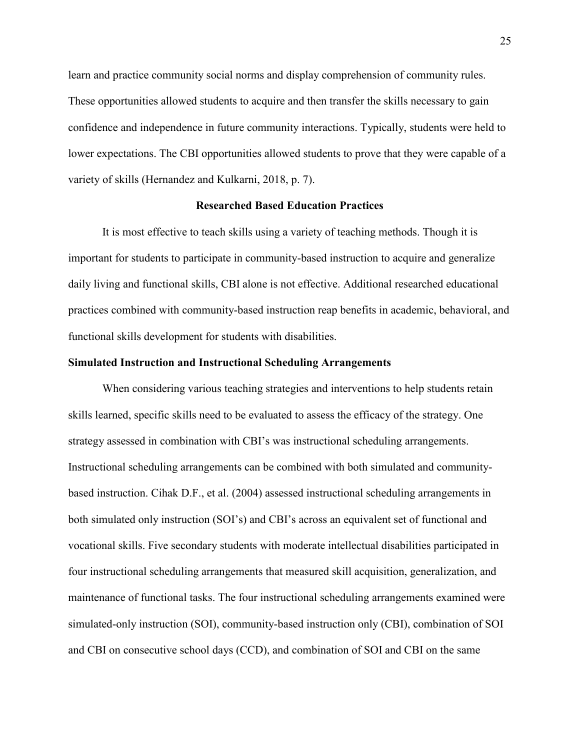learn and practice community social norms and display comprehension of community rules. These opportunities allowed students to acquire and then transfer the skills necessary to gain confidence and independence in future community interactions. Typically, students were held to lower expectations. The CBI opportunities allowed students to prove that they were capable of a variety of skills (Hernandez and Kulkarni, 2018, p. 7).

#### **Researched Based Education Practices**

It is most effective to teach skills using a variety of teaching methods. Though it is important for students to participate in community-based instruction to acquire and generalize daily living and functional skills, CBI alone is not effective. Additional researched educational practices combined with community-based instruction reap benefits in academic, behavioral, and functional skills development for students with disabilities.

#### **Simulated Instruction and Instructional Scheduling Arrangements**

When considering various teaching strategies and interventions to help students retain skills learned, specific skills need to be evaluated to assess the efficacy of the strategy. One strategy assessed in combination with CBI's was instructional scheduling arrangements. Instructional scheduling arrangements can be combined with both simulated and communitybased instruction. Cihak D.F., et al. (2004) assessed instructional scheduling arrangements in both simulated only instruction (SOI's) and CBI's across an equivalent set of functional and vocational skills. Five secondary students with moderate intellectual disabilities participated in four instructional scheduling arrangements that measured skill acquisition, generalization, and maintenance of functional tasks. The four instructional scheduling arrangements examined were simulated-only instruction (SOI), community-based instruction only (CBI), combination of SOI and CBI on consecutive school days (CCD), and combination of SOI and CBI on the same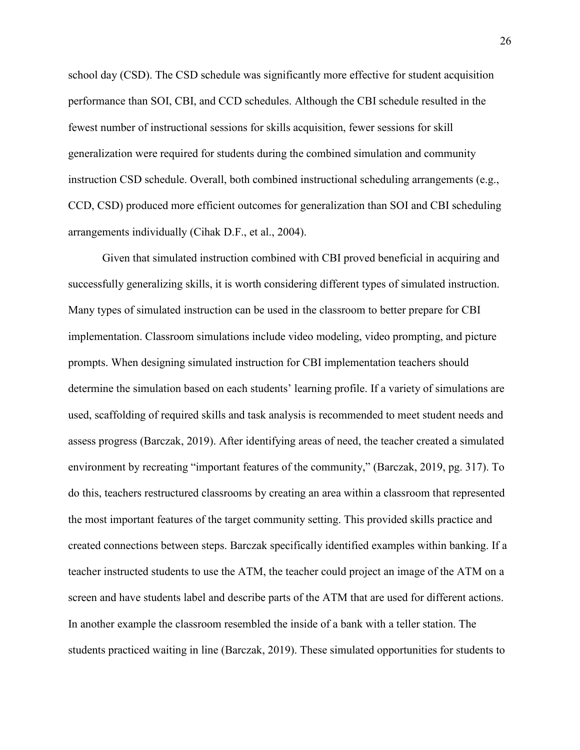school day (CSD). The CSD schedule was significantly more effective for student acquisition performance than SOI, CBI, and CCD schedules. Although the CBI schedule resulted in the fewest number of instructional sessions for skills acquisition, fewer sessions for skill generalization were required for students during the combined simulation and community instruction CSD schedule. Overall, both combined instructional scheduling arrangements (e.g., CCD, CSD) produced more efficient outcomes for generalization than SOI and CBI scheduling arrangements individually (Cihak D.F., et al., 2004).

Given that simulated instruction combined with CBI proved beneficial in acquiring and successfully generalizing skills, it is worth considering different types of simulated instruction. Many types of simulated instruction can be used in the classroom to better prepare for CBI implementation. Classroom simulations include video modeling, video prompting, and picture prompts. When designing simulated instruction for CBI implementation teachers should determine the simulation based on each students' learning profile. If a variety of simulations are used, scaffolding of required skills and task analysis is recommended to meet student needs and assess progress (Barczak, 2019). After identifying areas of need, the teacher created a simulated environment by recreating "important features of the community," (Barczak, 2019, pg. 317). To do this, teachers restructured classrooms by creating an area within a classroom that represented the most important features of the target community setting. This provided skills practice and created connections between steps. Barczak specifically identified examples within banking. If a teacher instructed students to use the ATM, the teacher could project an image of the ATM on a screen and have students label and describe parts of the ATM that are used for different actions. In another example the classroom resembled the inside of a bank with a teller station. The students practiced waiting in line (Barczak, 2019). These simulated opportunities for students to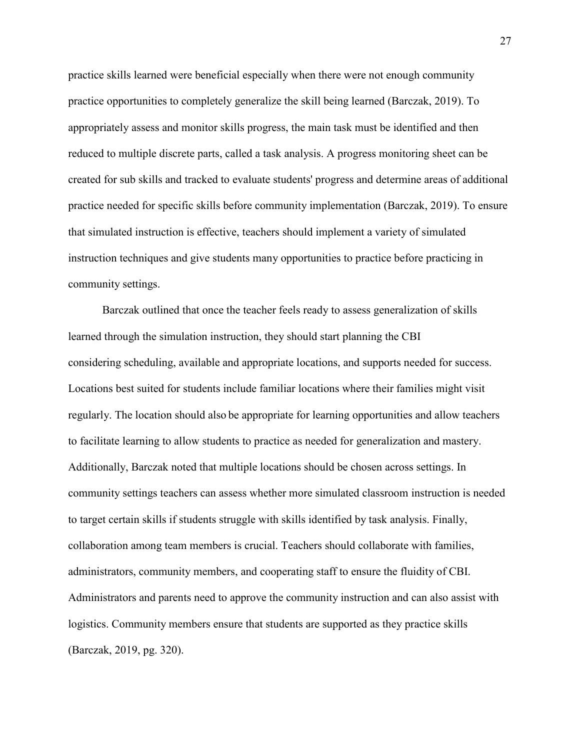practice skills learned were beneficial especially when there were not enough community practice opportunities to completely generalize the skill being learned (Barczak, 2019). To appropriately assess and monitor skills progress, the main task must be identified and then reduced to multiple discrete parts, called a task analysis. A progress monitoring sheet can be created for sub skills and tracked to evaluate students' progress and determine areas of additional practice needed for specific skills before community implementation (Barczak, 2019). To ensure that simulated instruction is effective, teachers should implement a variety of simulated instruction techniques and give students many opportunities to practice before practicing in community settings.

Barczak outlined that once the teacher feels ready to assess generalization of skills learned through the simulation instruction, they should start planning the CBI considering scheduling, available and appropriate locations, and supports needed for success. Locations best suited for students include familiar locations where their families might visit regularly. The location should also be appropriate for learning opportunities and allow teachers to facilitate learning to allow students to practice as needed for generalization and mastery. Additionally, Barczak noted that multiple locations should be chosen across settings. In community settings teachers can assess whether more simulated classroom instruction is needed to target certain skills if students struggle with skills identified by task analysis. Finally, collaboration among team members is crucial. Teachers should collaborate with families, administrators, community members, and cooperating staff to ensure the fluidity of CBI. Administrators and parents need to approve the community instruction and can also assist with logistics. Community members ensure that students are supported as they practice skills (Barczak, 2019, pg. 320).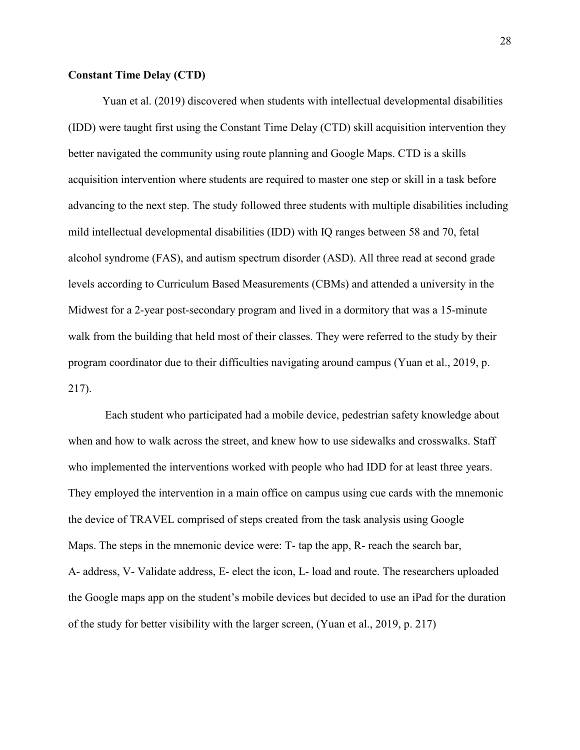## **Constant Time Delay (CTD)**

Yuan et al. (2019) discovered when students with intellectual developmental disabilities (IDD) were taught first using the Constant Time Delay (CTD) skill acquisition intervention they better navigated the community using route planning and Google Maps. CTD is a skills acquisition intervention where students are required to master one step or skill in a task before advancing to the next step. The study followed three students with multiple disabilities including mild intellectual developmental disabilities (IDD) with IQ ranges between 58 and 70, fetal alcohol syndrome (FAS), and autism spectrum disorder (ASD). All three read at second grade levels according to Curriculum Based Measurements (CBMs) and attended a university in the Midwest for a 2-year post-secondary program and lived in a dormitory that was a 15-minute walk from the building that held most of their classes. They were referred to the study by their program coordinator due to their difficulties navigating around campus (Yuan et al., 2019, p. 217).

Each student who participated had a mobile device, pedestrian safety knowledge about when and how to walk across the street, and knew how to use sidewalks and crosswalks. Staff who implemented the interventions worked with people who had IDD for at least three years. They employed the intervention in a main office on campus using cue cards with the mnemonic the device of TRAVEL comprised of steps created from the task analysis using Google Maps. The steps in the mnemonic device were: T- tap the app, R- reach the search bar, A- address, V- Validate address, E- elect the icon, L- load and route. The researchers uploaded the Google maps app on the student's mobile devices but decided to use an iPad for the duration of the study for better visibility with the larger screen, (Yuan et al., 2019, p. 217)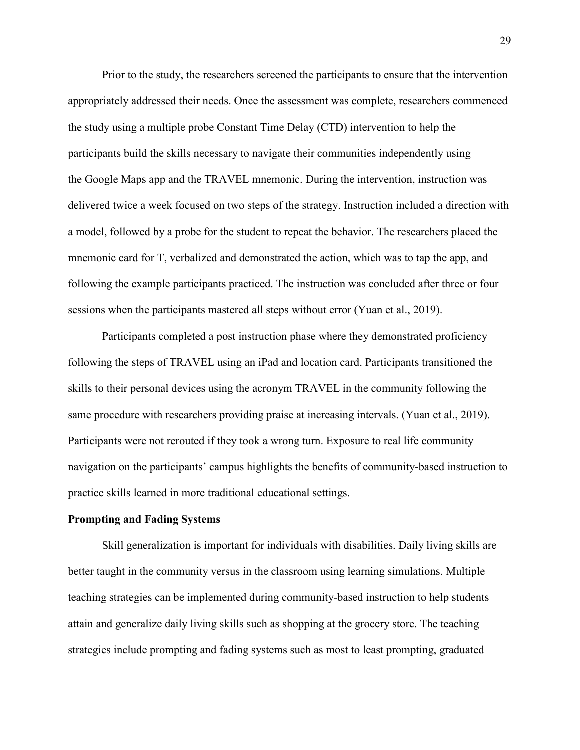Prior to the study, the researchers screened the participants to ensure that the intervention appropriately addressed their needs. Once the assessment was complete, researchers commenced the study using a multiple probe Constant Time Delay (CTD) intervention to help the participants build the skills necessary to navigate their communities independently using the Google Maps app and the TRAVEL mnemonic. During the intervention, instruction was delivered twice a week focused on two steps of the strategy. Instruction included a direction with a model, followed by a probe for the student to repeat the behavior. The researchers placed the mnemonic card for T, verbalized and demonstrated the action, which was to tap the app, and following the example participants practiced. The instruction was concluded after three or four sessions when the participants mastered all steps without error (Yuan et al., 2019).

Participants completed a post instruction phase where they demonstrated proficiency following the steps of TRAVEL using an iPad and location card. Participants transitioned the skills to their personal devices using the acronym TRAVEL in the community following the same procedure with researchers providing praise at increasing intervals. (Yuan et al., 2019). Participants were not rerouted if they took a wrong turn. Exposure to real life community navigation on the participants' campus highlights the benefits of community-based instruction to practice skills learned in more traditional educational settings.

#### **Prompting and Fading Systems**

Skill generalization is important for individuals with disabilities. Daily living skills are better taught in the community versus in the classroom using learning simulations. Multiple teaching strategies can be implemented during community-based instruction to help students attain and generalize daily living skills such as shopping at the grocery store. The teaching strategies include prompting and fading systems such as most to least prompting, graduated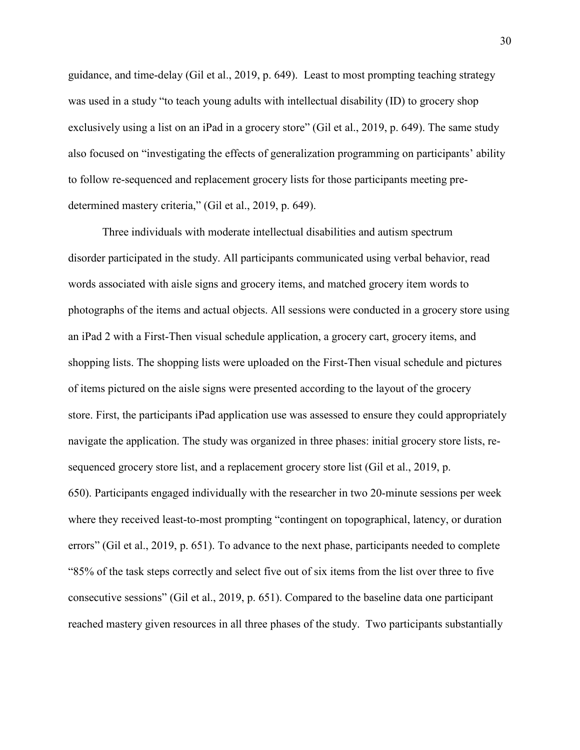guidance, and time-delay (Gil et al., 2019, p. 649). Least to most prompting teaching strategy was used in a study "to teach young adults with intellectual disability (ID) to grocery shop exclusively using a list on an iPad in a grocery store" (Gil et al., 2019, p. 649). The same study also focused on "investigating the effects of generalization programming on participants' ability to follow re-sequenced and replacement grocery lists for those participants meeting predetermined mastery criteria," (Gil et al., 2019, p. 649).

Three individuals with moderate intellectual disabilities and autism spectrum disorder participated in the study. All participants communicated using verbal behavior, read words associated with aisle signs and grocery items, and matched grocery item words to photographs of the items and actual objects. All sessions were conducted in a grocery store using an iPad 2 with a First-Then visual schedule application, a grocery cart, grocery items, and shopping lists. The shopping lists were uploaded on the First-Then visual schedule and pictures of items pictured on the aisle signs were presented according to the layout of the grocery store. First, the participants iPad application use was assessed to ensure they could appropriately navigate the application. The study was organized in three phases: initial grocery store lists, resequenced grocery store list, and a replacement grocery store list (Gil et al., 2019, p. 650). Participants engaged individually with the researcher in two 20-minute sessions per week where they received least-to-most prompting "contingent on topographical, latency, or duration errors" (Gil et al., 2019, p. 651). To advance to the next phase, participants needed to complete "85% of the task steps correctly and select five out of six items from the list over three to five consecutive sessions" (Gil et al., 2019, p. 651). Compared to the baseline data one participant reached mastery given resources in all three phases of the study. Two participants substantially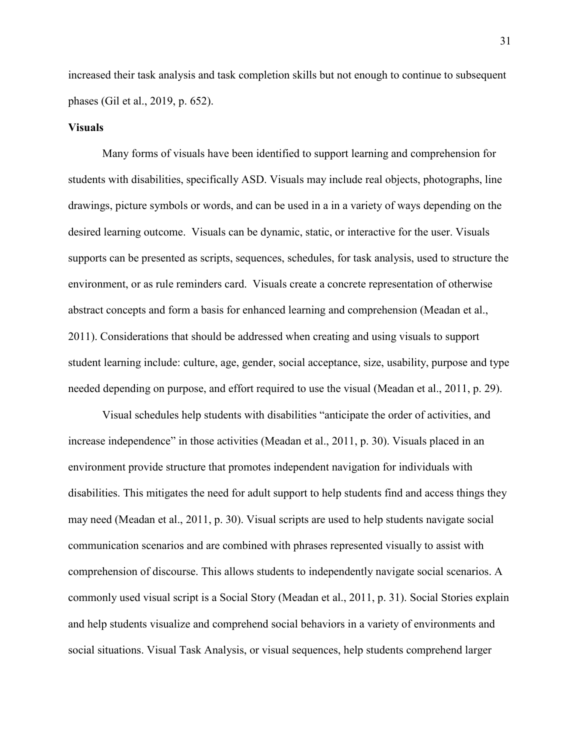increased their task analysis and task completion skills but not enough to continue to subsequent phases (Gil et al., 2019, p. 652).

#### **Visuals**

Many forms of visuals have been identified to support learning and comprehension for students with disabilities, specifically ASD. Visuals may include real objects, photographs, line drawings, picture symbols or words, and can be used in a in a variety of ways depending on the desired learning outcome. Visuals can be dynamic, static, or interactive for the user. Visuals supports can be presented as scripts, sequences, schedules, for task analysis, used to structure the environment, or as rule reminders card. Visuals create a concrete representation of otherwise abstract concepts and form a basis for enhanced learning and comprehension (Meadan et al., 2011). Considerations that should be addressed when creating and using visuals to support student learning include: culture, age, gender, social acceptance, size, usability, purpose and type needed depending on purpose, and effort required to use the visual (Meadan et al., 2011, p. 29).

Visual schedules help students with disabilities "anticipate the order of activities, and increase independence" in those activities (Meadan et al., 2011, p. 30). Visuals placed in an environment provide structure that promotes independent navigation for individuals with disabilities. This mitigates the need for adult support to help students find and access things they may need (Meadan et al., 2011, p. 30). Visual scripts are used to help students navigate social communication scenarios and are combined with phrases represented visually to assist with comprehension of discourse. This allows students to independently navigate social scenarios. A commonly used visual script is a Social Story (Meadan et al., 2011, p. 31). Social Stories explain and help students visualize and comprehend social behaviors in a variety of environments and social situations. Visual Task Analysis, or visual sequences, help students comprehend larger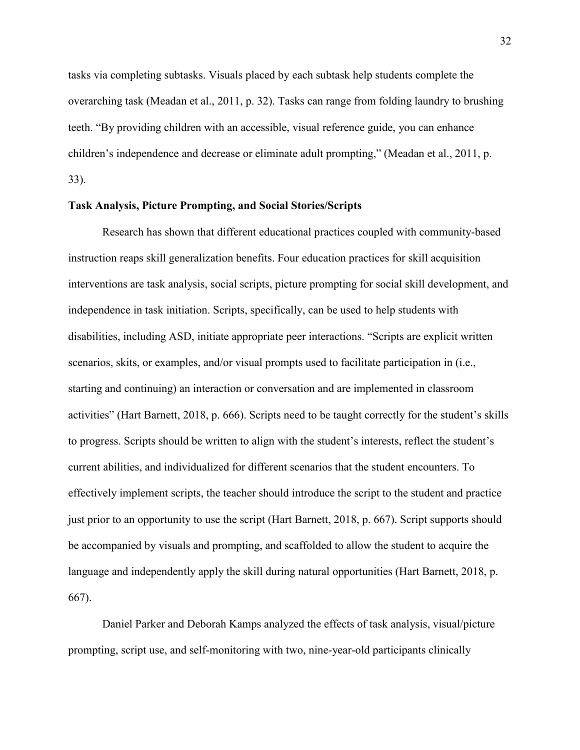tasks via completing subtasks. Visuals placed by each subtask help students complete the overarching task (Meadan et al., 2011, p. 32). Tasks can range from folding laundry to brushing teeth. "By providing children with an accessible, visual reference guide, you can enhance children's independence and decrease or eliminate adult prompting," (Meadan et al., 2011, p. 33).

## **Task Analysis, Picture Prompting, and Social Stories/Scripts**

Research has shown that different educational practices coupled with community-based instruction reaps skill generalization benefits. Four education practices for skill acquisition interventions are task analysis, social scripts, picture prompting for social skill development, and independence in task initiation. Scripts, specifically, can be used to help students with disabilities, including ASD, initiate appropriate peer interactions. "Scripts are explicit written scenarios, skits, or examples, and/or visual prompts used to facilitate participation in (i.e., starting and continuing) an interaction or conversation and are implemented in classroom activities" (Hart Barnett, 2018, p. 666). Scripts need to be taught correctly for the student's skills to progress. Scripts should be written to align with the student's interests, reflect the student's current abilities, and individualized for different scenarios that the student encounters. To effectively implement scripts, the teacher should introduce the script to the student and practice just prior to an opportunity to use the script (Hart Barnett, 2018, p. 667). Script supports should be accompanied by visuals and prompting, and scaffolded to allow the student to acquire the language and independently apply the skill during natural opportunities (Hart Barnett, 2018, p. 667).

Daniel Parker and Deborah Kamps analyzed the effects of task analysis, visual/picture prompting, script use, and self-monitoring with two, nine-year-old participants clinically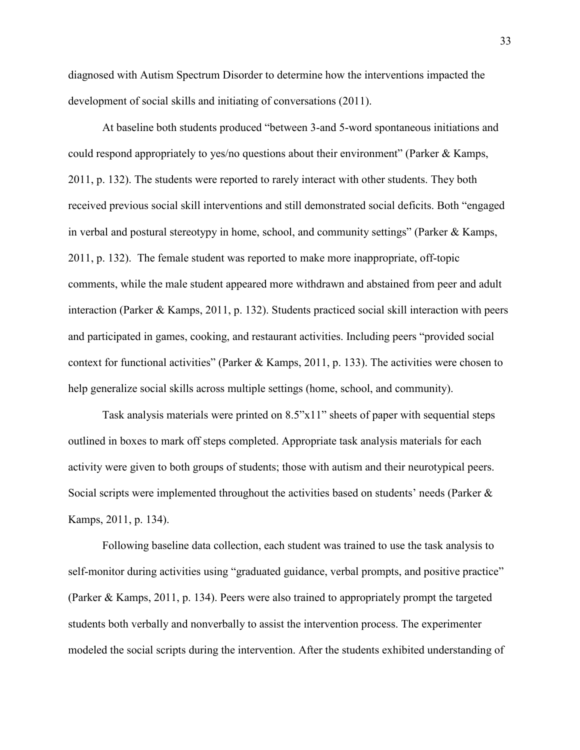diagnosed with Autism Spectrum Disorder to determine how the interventions impacted the development of social skills and initiating of conversations (2011).

At baseline both students produced "between 3-and 5-word spontaneous initiations and could respond appropriately to yes/no questions about their environment" (Parker & Kamps, 2011, p. 132). The students were reported to rarely interact with other students. They both received previous social skill interventions and still demonstrated social deficits. Both "engaged in verbal and postural stereotypy in home, school, and community settings" (Parker & Kamps, 2011, p. 132). The female student was reported to make more inappropriate, off-topic comments, while the male student appeared more withdrawn and abstained from peer and adult interaction (Parker & Kamps, 2011, p. 132). Students practiced social skill interaction with peers and participated in games, cooking, and restaurant activities. Including peers "provided social context for functional activities" (Parker & Kamps, 2011, p. 133). The activities were chosen to help generalize social skills across multiple settings (home, school, and community).

Task analysis materials were printed on 8.5"x11" sheets of paper with sequential steps outlined in boxes to mark off steps completed. Appropriate task analysis materials for each activity were given to both groups of students; those with autism and their neurotypical peers. Social scripts were implemented throughout the activities based on students' needs (Parker & Kamps, 2011, p. 134).

Following baseline data collection, each student was trained to use the task analysis to self-monitor during activities using "graduated guidance, verbal prompts, and positive practice" (Parker & Kamps, 2011, p. 134). Peers were also trained to appropriately prompt the targeted students both verbally and nonverbally to assist the intervention process. The experimenter modeled the social scripts during the intervention. After the students exhibited understanding of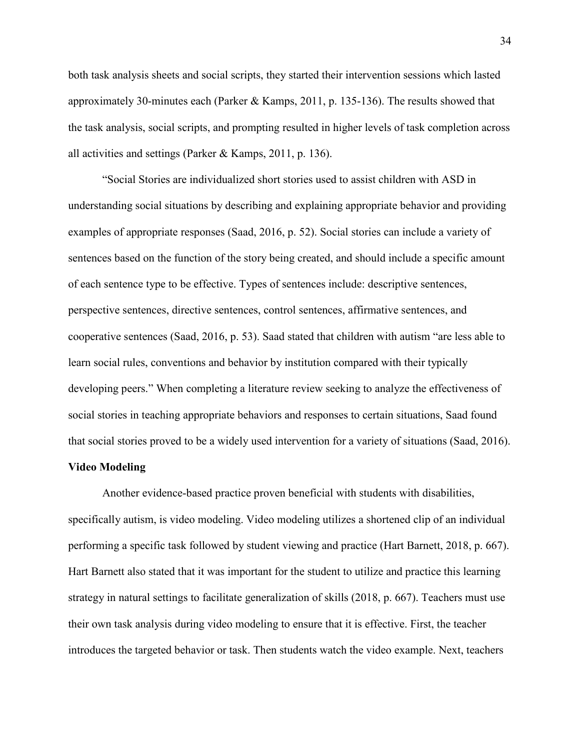both task analysis sheets and social scripts, they started their intervention sessions which lasted approximately 30-minutes each (Parker & Kamps, 2011, p. 135-136). The results showed that the task analysis, social scripts, and prompting resulted in higher levels of task completion across all activities and settings (Parker & Kamps, 2011, p. 136).

"Social Stories are individualized short stories used to assist children with ASD in understanding social situations by describing and explaining appropriate behavior and providing examples of appropriate responses (Saad, 2016, p. 52). Social stories can include a variety of sentences based on the function of the story being created, and should include a specific amount of each sentence type to be effective. Types of sentences include: descriptive sentences, perspective sentences, directive sentences, control sentences, affirmative sentences, and cooperative sentences (Saad, 2016, p. 53). Saad stated that children with autism "are less able to learn social rules, conventions and behavior by institution compared with their typically developing peers." When completing a literature review seeking to analyze the effectiveness of social stories in teaching appropriate behaviors and responses to certain situations, Saad found that social stories proved to be a widely used intervention for a variety of situations (Saad, 2016).

#### **Video Modeling**

Another evidence-based practice proven beneficial with students with disabilities, specifically autism, is video modeling. Video modeling utilizes a shortened clip of an individual performing a specific task followed by student viewing and practice (Hart Barnett, 2018, p. 667). Hart Barnett also stated that it was important for the student to utilize and practice this learning strategy in natural settings to facilitate generalization of skills (2018, p. 667). Teachers must use their own task analysis during video modeling to ensure that it is effective. First, the teacher introduces the targeted behavior or task. Then students watch the video example. Next, teachers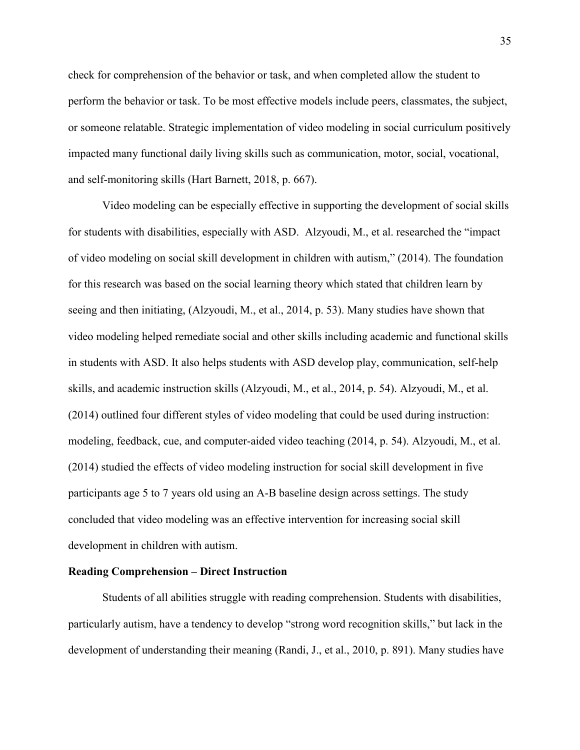check for comprehension of the behavior or task, and when completed allow the student to perform the behavior or task. To be most effective models include peers, classmates, the subject, or someone relatable. Strategic implementation of video modeling in social curriculum positively impacted many functional daily living skills such as communication, motor, social, vocational, and self-monitoring skills (Hart Barnett, 2018, p. 667).

Video modeling can be especially effective in supporting the development of social skills for students with disabilities, especially with ASD. Alzyoudi, M., et al. researched the "impact of video modeling on social skill development in children with autism," (2014). The foundation for this research was based on the social learning theory which stated that children learn by seeing and then initiating, (Alzyoudi, M., et al., 2014, p. 53). Many studies have shown that video modeling helped remediate social and other skills including academic and functional skills in students with ASD. It also helps students with ASD develop play, communication, self-help skills, and academic instruction skills (Alzyoudi, M., et al., 2014, p. 54). Alzyoudi, M., et al. (2014) outlined four different styles of video modeling that could be used during instruction: modeling, feedback, cue, and computer-aided video teaching (2014, p. 54). Alzyoudi, M., et al. (2014) studied the effects of video modeling instruction for social skill development in five participants age 5 to 7 years old using an A-B baseline design across settings. The study concluded that video modeling was an effective intervention for increasing social skill development in children with autism.

#### **Reading Comprehension – Direct Instruction**

Students of all abilities struggle with reading comprehension. Students with disabilities, particularly autism, have a tendency to develop "strong word recognition skills," but lack in the development of understanding their meaning (Randi, J., et al., 2010, p. 891). Many studies have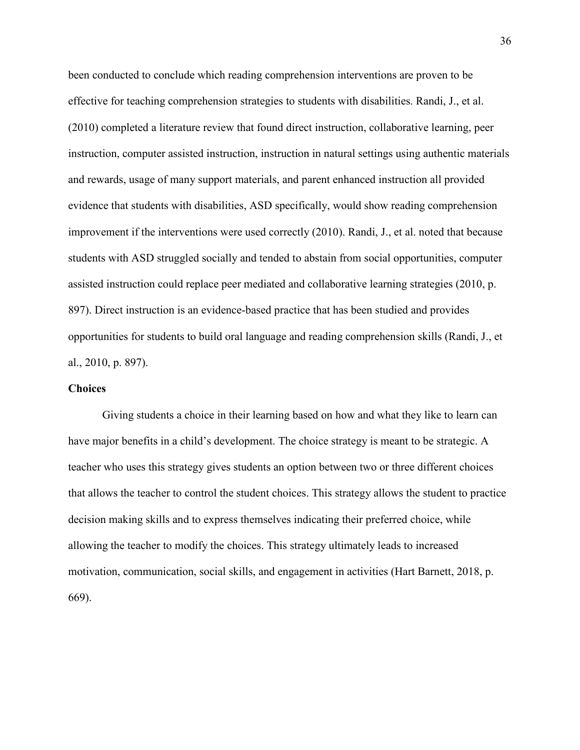been conducted to conclude which reading comprehension interventions are proven to be effective for teaching comprehension strategies to students with disabilities. Randi, J., et al. (2010) completed a literature review that found direct instruction, collaborative learning, peer instruction, computer assisted instruction, instruction in natural settings using authentic materials and rewards, usage of many support materials, and parent enhanced instruction all provided evidence that students with disabilities, ASD specifically, would show reading comprehension improvement if the interventions were used correctly (2010). Randi, J., et al. noted that because students with ASD struggled socially and tended to abstain from social opportunities, computer assisted instruction could replace peer mediated and collaborative learning strategies (2010, p. 897). Direct instruction is an evidence-based practice that has been studied and provides opportunities for students to build oral language and reading comprehension skills (Randi, J., et al., 2010, p. 897).

### **Choices**

Giving students a choice in their learning based on how and what they like to learn can have major benefits in a child's development. The choice strategy is meant to be strategic. A teacher who uses this strategy gives students an option between two or three different choices that allows the teacher to control the student choices. This strategy allows the student to practice decision making skills and to express themselves indicating their preferred choice, while allowing the teacher to modify the choices. This strategy ultimately leads to increased motivation, communication, social skills, and engagement in activities (Hart Barnett, 2018, p. 669).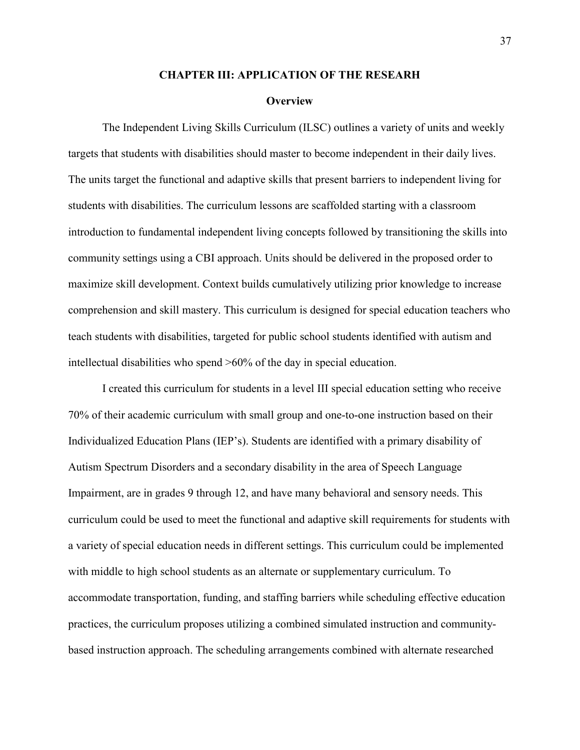#### **CHAPTER III: APPLICATION OF THE RESEARH**

#### **Overview**

The Independent Living Skills Curriculum (ILSC) outlines a variety of units and weekly targets that students with disabilities should master to become independent in their daily lives. The units target the functional and adaptive skills that present barriers to independent living for students with disabilities. The curriculum lessons are scaffolded starting with a classroom introduction to fundamental independent living concepts followed by transitioning the skills into community settings using a CBI approach. Units should be delivered in the proposed order to maximize skill development. Context builds cumulatively utilizing prior knowledge to increase comprehension and skill mastery. This curriculum is designed for special education teachers who teach students with disabilities, targeted for public school students identified with autism and intellectual disabilities who spend >60% of the day in special education.

I created this curriculum for students in a level III special education setting who receive 70% of their academic curriculum with small group and one-to-one instruction based on their Individualized Education Plans (IEP's). Students are identified with a primary disability of Autism Spectrum Disorders and a secondary disability in the area of Speech Language Impairment, are in grades 9 through 12, and have many behavioral and sensory needs. This curriculum could be used to meet the functional and adaptive skill requirements for students with a variety of special education needs in different settings. This curriculum could be implemented with middle to high school students as an alternate or supplementary curriculum. To accommodate transportation, funding, and staffing barriers while scheduling effective education practices, the curriculum proposes utilizing a combined simulated instruction and communitybased instruction approach. The scheduling arrangements combined with alternate researched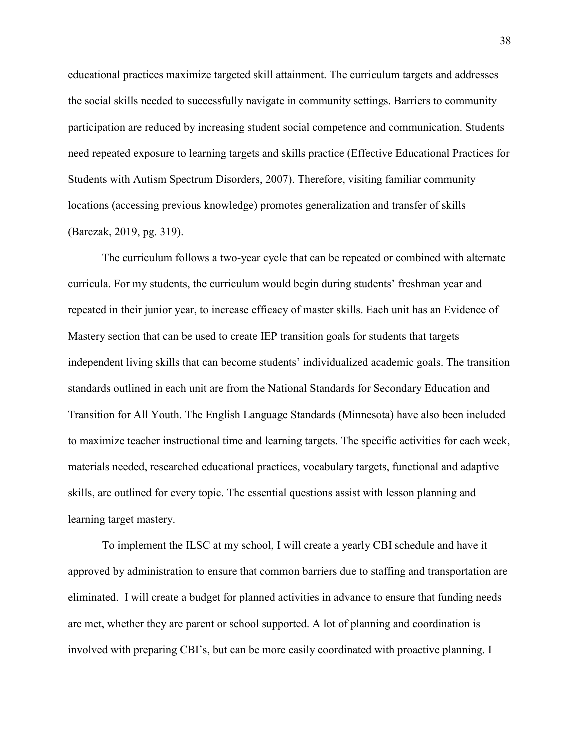educational practices maximize targeted skill attainment. The curriculum targets and addresses the social skills needed to successfully navigate in community settings. Barriers to community participation are reduced by increasing student social competence and communication. Students need repeated exposure to learning targets and skills practice (Effective Educational Practices for Students with Autism Spectrum Disorders, 2007). Therefore, visiting familiar community locations (accessing previous knowledge) promotes generalization and transfer of skills (Barczak, 2019, pg. 319).

The curriculum follows a two-year cycle that can be repeated or combined with alternate curricula. For my students, the curriculum would begin during students' freshman year and repeated in their junior year, to increase efficacy of master skills. Each unit has an Evidence of Mastery section that can be used to create IEP transition goals for students that targets independent living skills that can become students' individualized academic goals. The transition standards outlined in each unit are from the National Standards for Secondary Education and Transition for All Youth. The English Language Standards (Minnesota) have also been included to maximize teacher instructional time and learning targets. The specific activities for each week, materials needed, researched educational practices, vocabulary targets, functional and adaptive skills, are outlined for every topic. The essential questions assist with lesson planning and learning target mastery.

To implement the ILSC at my school, I will create a yearly CBI schedule and have it approved by administration to ensure that common barriers due to staffing and transportation are eliminated. I will create a budget for planned activities in advance to ensure that funding needs are met, whether they are parent or school supported. A lot of planning and coordination is involved with preparing CBI's, but can be more easily coordinated with proactive planning. I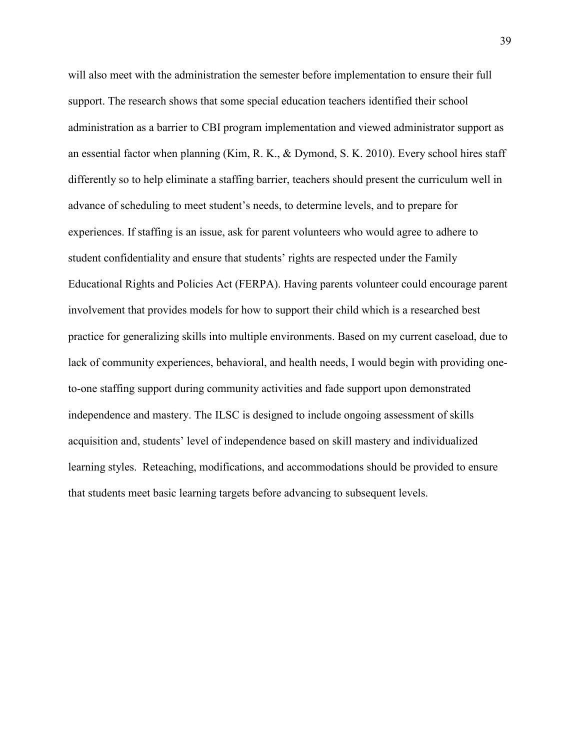will also meet with the administration the semester before implementation to ensure their full support. The research shows that some special education teachers identified their school administration as a barrier to CBI program implementation and viewed administrator support as an essential factor when planning (Kim, R. K., & Dymond, S. K. 2010). Every school hires staff differently so to help eliminate a staffing barrier, teachers should present the curriculum well in advance of scheduling to meet student's needs, to determine levels, and to prepare for experiences. If staffing is an issue, ask for parent volunteers who would agree to adhere to student confidentiality and ensure that students' rights are respected under the Family Educational Rights and Policies Act (FERPA). Having parents volunteer could encourage parent involvement that provides models for how to support their child which is a researched best practice for generalizing skills into multiple environments. Based on my current caseload, due to lack of community experiences, behavioral, and health needs, I would begin with providing oneto-one staffing support during community activities and fade support upon demonstrated independence and mastery. The ILSC is designed to include ongoing assessment of skills acquisition and, students' level of independence based on skill mastery and individualized learning styles. Reteaching, modifications, and accommodations should be provided to ensure that students meet basic learning targets before advancing to subsequent levels.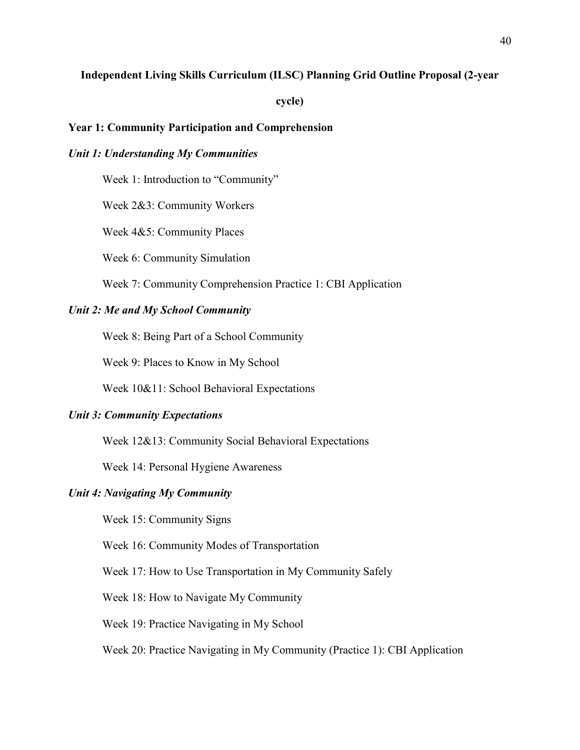## **Independent Living Skills Curriculum (ILSC) Planning Grid Outline Proposal (2-year**

**cycle)**

## **Year 1: Community Participation and Comprehension**

## *Unit 1: Understanding My Communities*

Week 1: Introduction to "Community"

Week 2&3: Community Workers

Week 4&5: Community Places

Week 6: Community Simulation

Week 7: Community Comprehension Practice 1: CBI Application

## *Unit 2: Me and My School Community*

Week 8: Being Part of a School Community

Week 9: Places to Know in My School

Week 10&11: School Behavioral Expectations

#### *Unit 3: Community Expectations*

Week 12&13: Community Social Behavioral Expectations

Week 14: Personal Hygiene Awareness

## *Unit 4: Navigating My Community*

Week 15: Community Signs

Week 16: Community Modes of Transportation

Week 17: How to Use Transportation in My Community Safely

Week 18: How to Navigate My Community

Week 19: Practice Navigating in My School

Week 20: Practice Navigating in My Community (Practice 1): CBI Application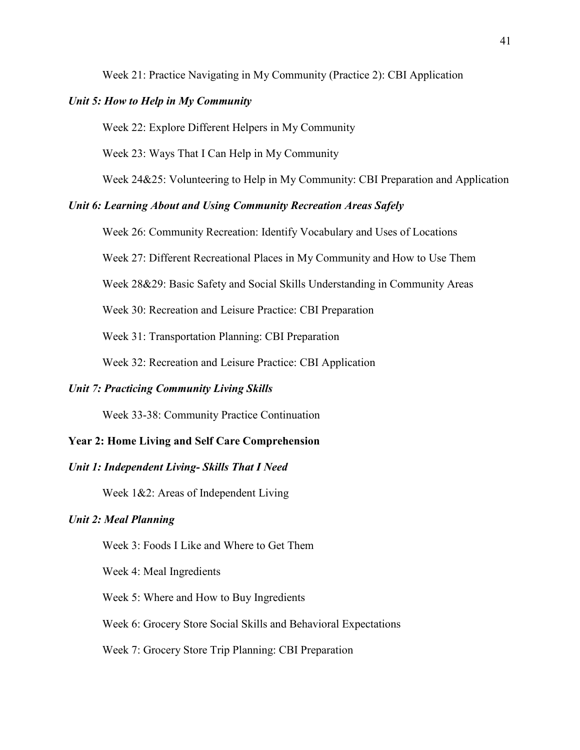Week 21: Practice Navigating in My Community (Practice 2): CBI Application

### *Unit 5: How to Help in My Community*

Week 22: Explore Different Helpers in My Community

Week 23: Ways That I Can Help in My Community

Week 24&25: Volunteering to Help in My Community: CBI Preparation and Application

## *Unit 6: Learning About and Using Community Recreation Areas Safely*

Week 26: Community Recreation: Identify Vocabulary and Uses of Locations

Week 27: Different Recreational Places in My Community and How to Use Them

Week 28&29: Basic Safety and Social Skills Understanding in Community Areas

Week 30: Recreation and Leisure Practice: CBI Preparation

Week 31: Transportation Planning: CBI Preparation

Week 32: Recreation and Leisure Practice: CBI Application

### *Unit 7: Practicing Community Living Skills*

Week 33-38: Community Practice Continuation

## **Year 2: Home Living and Self Care Comprehension**

## *Unit 1: Independent Living- Skills That I Need*

Week 1&2: Areas of Independent Living

## *Unit 2: Meal Planning*

Week 3: Foods I Like and Where to Get Them

Week 4: Meal Ingredients

Week 5: Where and How to Buy Ingredients

Week 6: Grocery Store Social Skills and Behavioral Expectations

#### Week 7: Grocery Store Trip Planning: CBI Preparation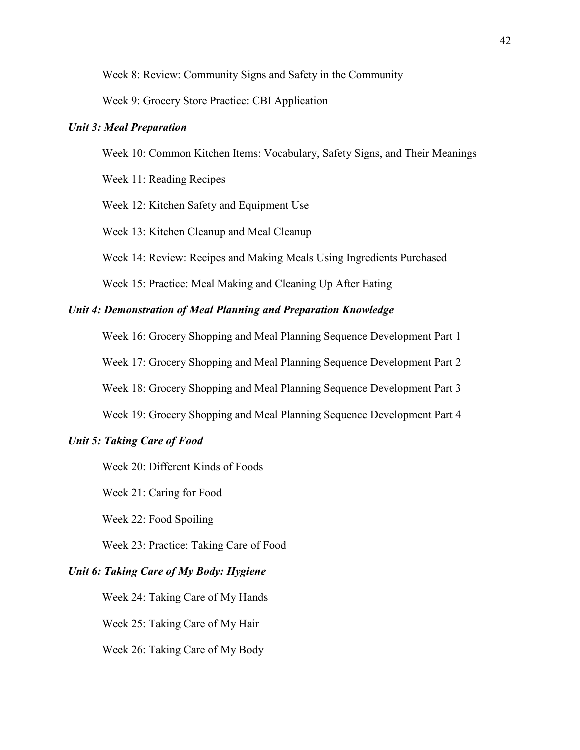Week 8: Review: Community Signs and Safety in the Community

Week 9: Grocery Store Practice: CBI Application

## *Unit 3: Meal Preparation*

Week 10: Common Kitchen Items: Vocabulary, Safety Signs, and Their Meanings

Week 11: Reading Recipes

Week 12: Kitchen Safety and Equipment Use

Week 13: Kitchen Cleanup and Meal Cleanup

Week 14: Review: Recipes and Making Meals Using Ingredients Purchased

Week 15: Practice: Meal Making and Cleaning Up After Eating

## *Unit 4: Demonstration of Meal Planning and Preparation Knowledge*

Week 16: Grocery Shopping and Meal Planning Sequence Development Part 1 Week 17: Grocery Shopping and Meal Planning Sequence Development Part 2 Week 18: Grocery Shopping and Meal Planning Sequence Development Part 3 Week 19: Grocery Shopping and Meal Planning Sequence Development Part 4

## *Unit 5: Taking Care of Food*

Week 20: Different Kinds of Foods

Week 21: Caring for Food

Week 22: Food Spoiling

Week 23: Practice: Taking Care of Food

## *Unit 6: Taking Care of My Body: Hygiene*

Week 24: Taking Care of My Hands

Week 25: Taking Care of My Hair

Week 26: Taking Care of My Body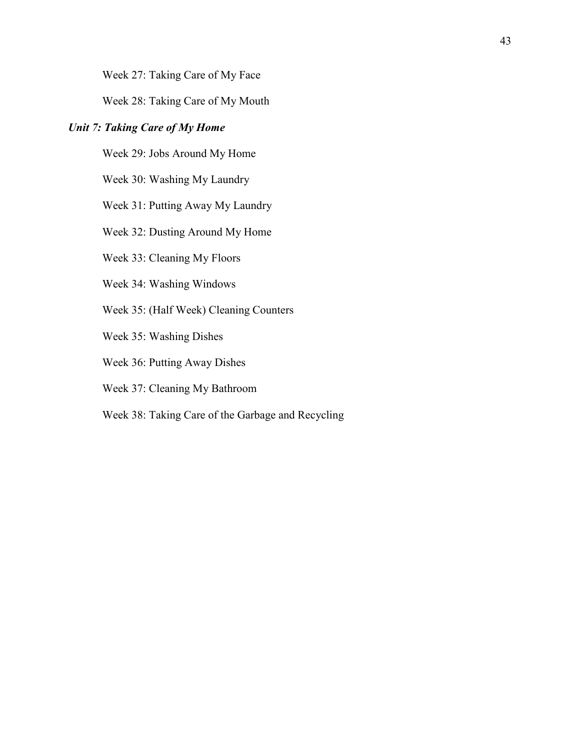Week 27: Taking Care of My Face

Week 28: Taking Care of My Mouth

## *Unit 7: Taking Care of My Home*

Week 29: Jobs Around My Home

Week 30: Washing My Laundry

Week 31: Putting Away My Laundry

Week 32: Dusting Around My Home

Week 33: Cleaning My Floors

Week 34: Washing Windows

Week 35: (Half Week) Cleaning Counters

Week 35: Washing Dishes

Week 36: Putting Away Dishes

Week 37: Cleaning My Bathroom

Week 38: Taking Care of the Garbage and Recycling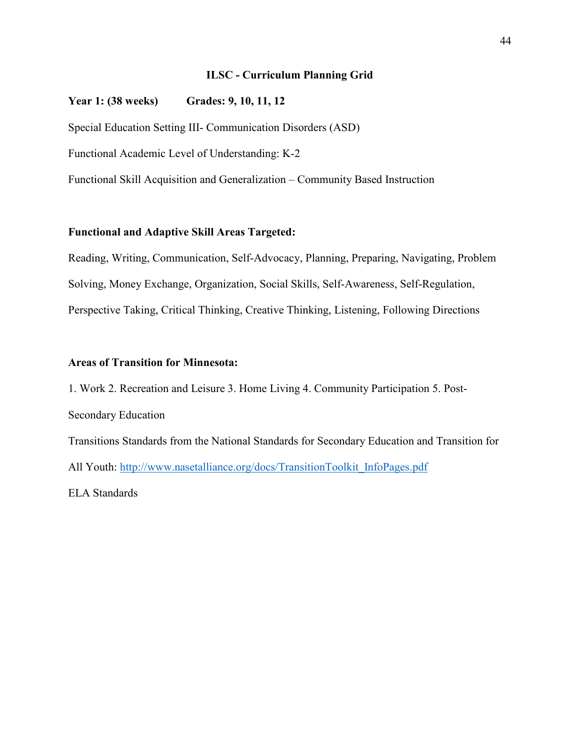## **ILSC - Curriculum Planning Grid**

## **Year 1: (38 weeks) Grades: 9, 10, 11, 12**

Special Education Setting III- Communication Disorders (ASD)

Functional Academic Level of Understanding: K-2

Functional Skill Acquisition and Generalization – Community Based Instruction

## **Functional and Adaptive Skill Areas Targeted:**

Reading, Writing, Communication, Self-Advocacy, Planning, Preparing, Navigating, Problem Solving, Money Exchange, Organization, Social Skills, Self-Awareness, Self-Regulation, Perspective Taking, Critical Thinking, Creative Thinking, Listening, Following Directions

## **Areas of Transition for Minnesota:**

1. Work 2. Recreation and Leisure 3. Home Living 4. Community Participation 5. Post-Secondary Education Transitions Standards from the National Standards for Secondary Education and Transition for All Youth: [http://www.nasetalliance.org/docs/TransitionToolkit\\_InfoPages.pdf](http://www.nasetalliance.org/docs/TransitionToolkit_InfoPages.pdf) ELA Standards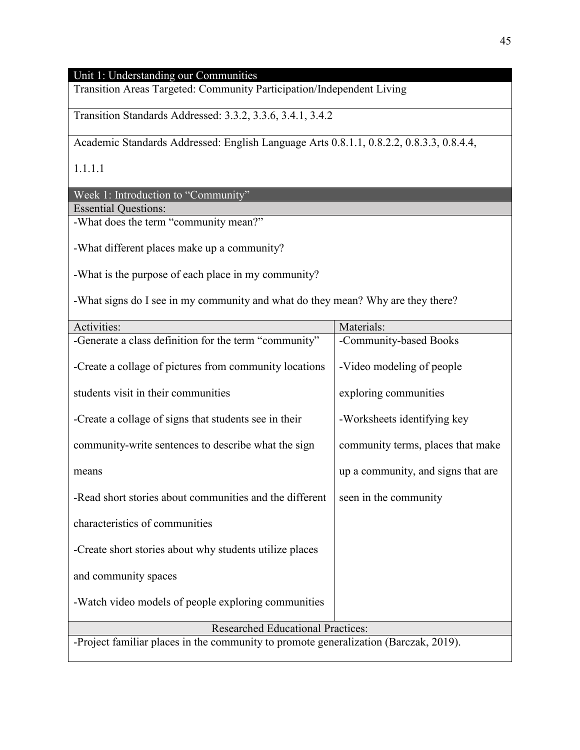# Unit 1: Understanding our Communities

Transition Areas Targeted: Community Participation/Independent Living

Transition Standards Addressed: 3.3.2, 3.3.6, 3.4.1, 3.4.2

Academic Standards Addressed: English Language Arts 0.8.1.1, 0.8.2.2, 0.8.3.3, 0.8.4.4,

1.1.1.1

Week 1: Introduction to "Community"

Essential Questions:

-What does the term "community mean?"

-What different places make up a community?

-What is the purpose of each place in my community?

-What signs do I see in my community and what do they mean? Why are they there?

| Activities:                                                                          | Materials:                         |  |
|--------------------------------------------------------------------------------------|------------------------------------|--|
| -Generate a class definition for the term "community"                                | -Community-based Books             |  |
| -Create a collage of pictures from community locations                               | -Video modeling of people          |  |
| students visit in their communities                                                  | exploring communities              |  |
| -Create a collage of signs that students see in their                                | -Worksheets identifying key        |  |
| community-write sentences to describe what the sign                                  | community terms, places that make  |  |
| means                                                                                | up a community, and signs that are |  |
| -Read short stories about communities and the different                              | seen in the community              |  |
| characteristics of communities                                                       |                                    |  |
| -Create short stories about why students utilize places                              |                                    |  |
| and community spaces                                                                 |                                    |  |
| -Watch video models of people exploring communities                                  |                                    |  |
| <b>Researched Educational Practices:</b>                                             |                                    |  |
| -Project familiar places in the community to promote generalization (Barczak, 2019). |                                    |  |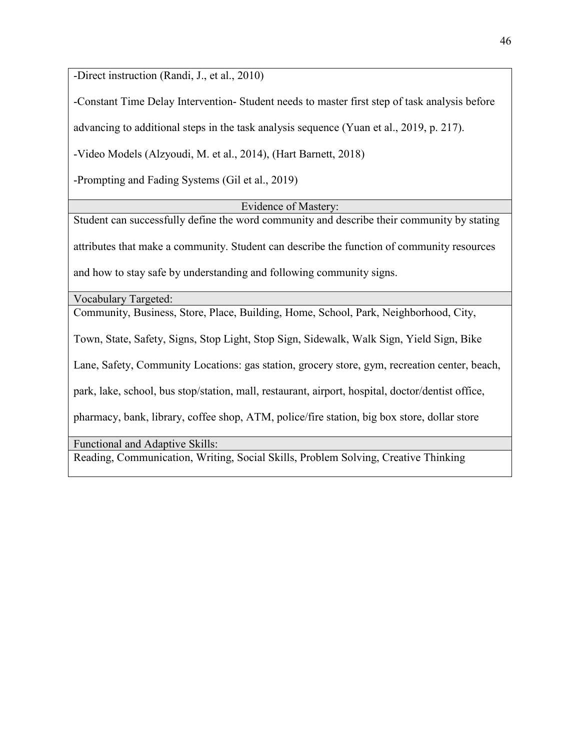-Direct instruction (Randi, J., et al., 2010)

-Constant Time Delay Intervention- Student needs to master first step of task analysis before

advancing to additional steps in the task analysis sequence (Yuan et al., 2019, p. 217).

-Video Models (Alzyoudi, M. et al., 2014), (Hart Barnett, 2018)

-Prompting and Fading Systems (Gil et al., 2019)

Evidence of Mastery:

Student can successfully define the word community and describe their community by stating attributes that make a community. Student can describe the function of community resources and how to stay safe by understanding and following community signs.

Vocabulary Targeted:

Community, Business, Store, Place, Building, Home, School, Park, Neighborhood, City,

Town, State, Safety, Signs, Stop Light, Stop Sign, Sidewalk, Walk Sign, Yield Sign, Bike

Lane, Safety, Community Locations: gas station, grocery store, gym, recreation center, beach,

park, lake, school, bus stop/station, mall, restaurant, airport, hospital, doctor/dentist office,

pharmacy, bank, library, coffee shop, ATM, police/fire station, big box store, dollar store

Functional and Adaptive Skills:

Reading, Communication, Writing, Social Skills, Problem Solving, Creative Thinking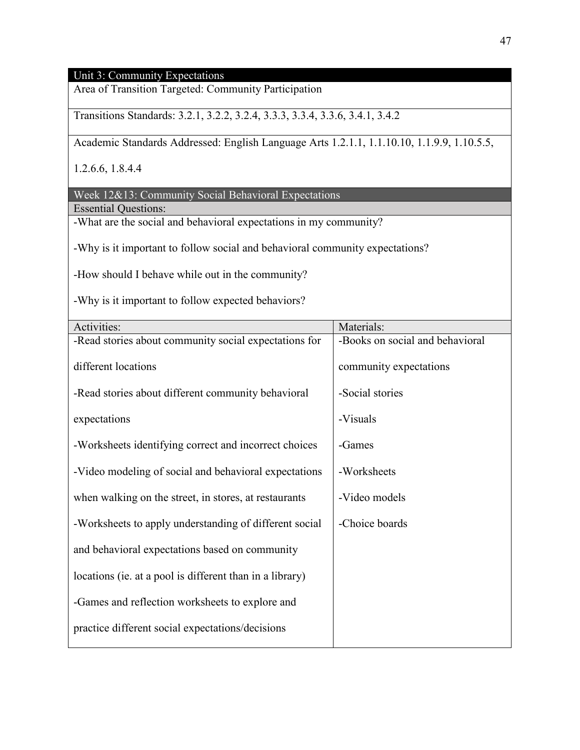## Unit 3: Community Expectations

Area of Transition Targeted: Community Participation

Transitions Standards: 3.2.1, 3.2.2, 3.2.4, 3.3.3, 3.3.4, 3.3.6, 3.4.1, 3.4.2

Academic Standards Addressed: English Language Arts 1.2.1.1, 1.1.10.10, 1.1.9.9, 1.10.5.5,

1.2.6.6, 1.8.4.4

Week 12&13: Community Social Behavioral Expectations

Essential Questions:

-What are the social and behavioral expectations in my community?

-Why is it important to follow social and behavioral community expectations?

-How should I behave while out in the community?

-Why is it important to follow expected behaviors?

| Activities:                                              | Materials:                      |
|----------------------------------------------------------|---------------------------------|
| -Read stories about community social expectations for    | -Books on social and behavioral |
| different locations                                      | community expectations          |
| -Read stories about different community behavioral       | -Social stories                 |
| expectations                                             | -Visuals                        |
| -Worksheets identifying correct and incorrect choices    | -Games                          |
| -Video modeling of social and behavioral expectations    | -Worksheets                     |
| when walking on the street, in stores, at restaurants    | -Video models                   |
| -Worksheets to apply understanding of different social   | -Choice boards                  |
| and behavioral expectations based on community           |                                 |
| locations (ie. at a pool is different than in a library) |                                 |
| -Games and reflection worksheets to explore and          |                                 |
| practice different social expectations/decisions         |                                 |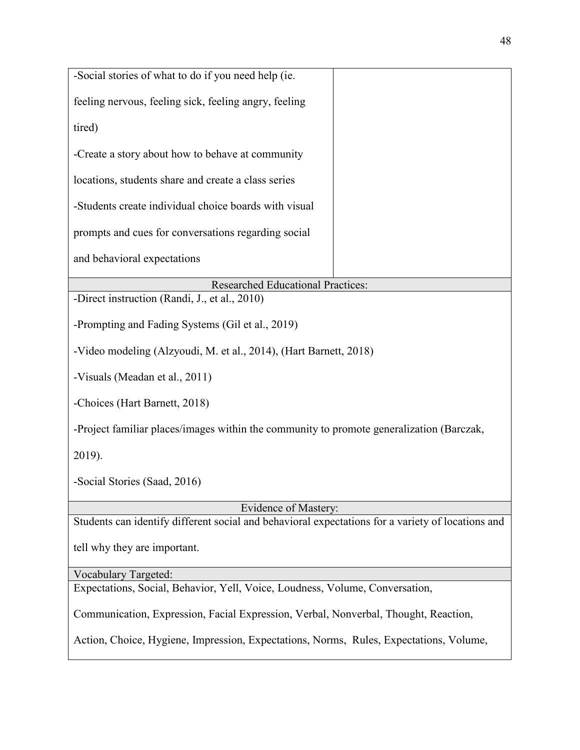| -Social stories of what to do if you need help (ie.                                               |  |  |
|---------------------------------------------------------------------------------------------------|--|--|
| feeling nervous, feeling sick, feeling angry, feeling                                             |  |  |
| tired)                                                                                            |  |  |
| -Create a story about how to behave at community                                                  |  |  |
| locations, students share and create a class series                                               |  |  |
| -Students create individual choice boards with visual                                             |  |  |
| prompts and cues for conversations regarding social                                               |  |  |
| and behavioral expectations                                                                       |  |  |
| <b>Researched Educational Practices:</b>                                                          |  |  |
| -Direct instruction (Randi, J., et al., 2010)                                                     |  |  |
|                                                                                                   |  |  |
| -Prompting and Fading Systems (Gil et al., 2019)                                                  |  |  |
| -Video modeling (Alzyoudi, M. et al., 2014), (Hart Barnett, 2018)                                 |  |  |
| -Visuals (Meadan et al., 2011)                                                                    |  |  |
| -Choices (Hart Barnett, 2018)                                                                     |  |  |
| -Project familiar places/images within the community to promote generalization (Barczak,          |  |  |
| 2019).                                                                                            |  |  |
| -Social Stories (Saad, 2016)                                                                      |  |  |
| Evidence of Mastery:                                                                              |  |  |
| Students can identify different social and behavioral expectations for a variety of locations and |  |  |
|                                                                                                   |  |  |
| tell why they are important.                                                                      |  |  |
| <b>Vocabulary Targeted:</b>                                                                       |  |  |
| Expectations, Social, Behavior, Yell, Voice, Loudness, Volume, Conversation,                      |  |  |
|                                                                                                   |  |  |
| Communication, Expression, Facial Expression, Verbal, Nonverbal, Thought, Reaction,               |  |  |
| Action, Choice, Hygiene, Impression, Expectations, Norms, Rules, Expectations, Volume,            |  |  |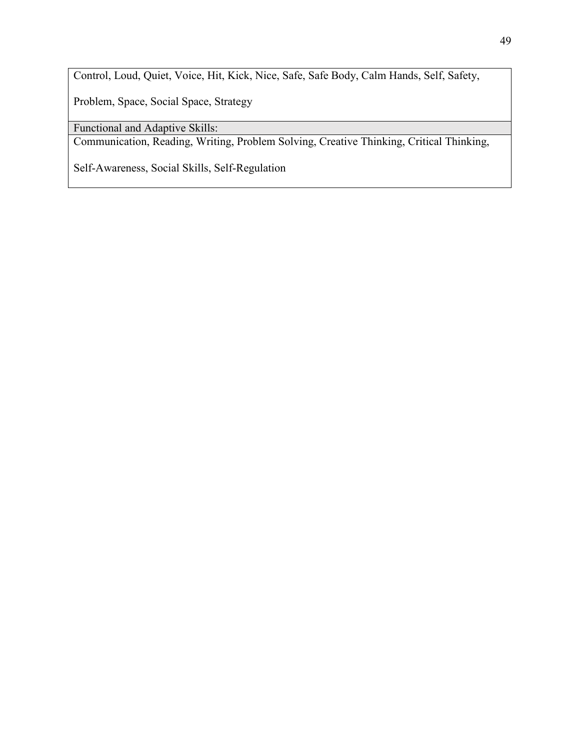Control, Loud, Quiet, Voice, Hit, Kick, Nice, Safe, Safe Body, Calm Hands, Self, Safety,

Problem, Space, Social Space, Strategy

Functional and Adaptive Skills:

Communication, Reading, Writing, Problem Solving, Creative Thinking, Critical Thinking,

Self-Awareness, Social Skills, Self-Regulation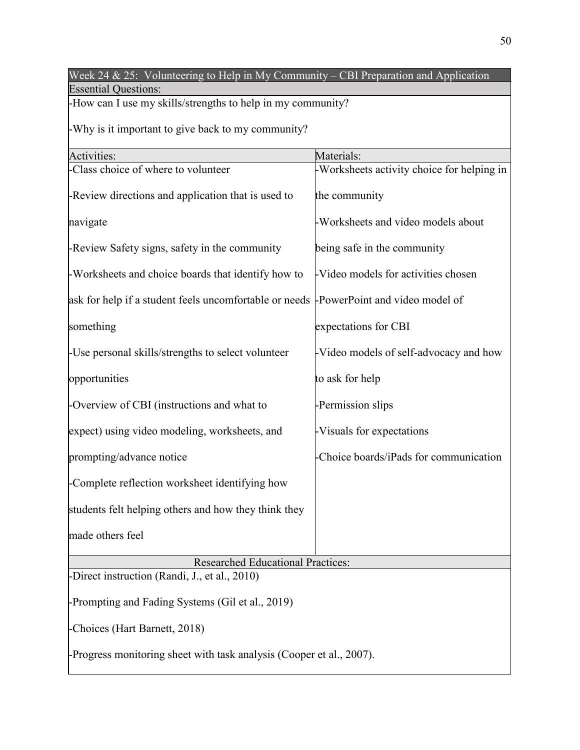| Week 24 & 25: Volunteering to Help in My Community – CBI Preparation and Application |                                            |  |
|--------------------------------------------------------------------------------------|--------------------------------------------|--|
| <b>Essential Questions:</b>                                                          |                                            |  |
| -How can I use my skills/strengths to help in my community?                          |                                            |  |
| -Why is it important to give back to my community?                                   |                                            |  |
| Activities:                                                                          | Materials:                                 |  |
| Class choice of where to volunteer                                                   | -Worksheets activity choice for helping in |  |
| -Review directions and application that is used to                                   | the community                              |  |
| navigate                                                                             | -Worksheets and video models about         |  |
| -Review Safety signs, safety in the community                                        | being safe in the community                |  |
| -Worksheets and choice boards that identify how to                                   | -Video models for activities chosen        |  |
| ask for help if a student feels uncomfortable or needs PowerPoint and video model of |                                            |  |
| something                                                                            | expectations for CBI                       |  |
| -Use personal skills/strengths to select volunteer                                   | -Video models of self-advocacy and how     |  |
| opportunities                                                                        | to ask for help                            |  |
| -Overview of CBI (instructions and what to                                           | -Permission slips                          |  |
| expect) using video modeling, worksheets, and                                        | -Visuals for expectations                  |  |
| prompting/advance notice                                                             | -Choice boards/iPads for communication     |  |
| -Complete reflection worksheet identifying how                                       |                                            |  |
| students felt helping others and how they think they                                 |                                            |  |
| made others feel                                                                     |                                            |  |
| <b>Researched Educational Practices:</b>                                             |                                            |  |
| -Direct instruction (Randi, J., et al., 2010)                                        |                                            |  |
| -Prompting and Fading Systems (Gil et al., 2019)                                     |                                            |  |
| -Choices (Hart Barnett, 2018)                                                        |                                            |  |
| -Progress monitoring sheet with task analysis (Cooper et al., 2007).                 |                                            |  |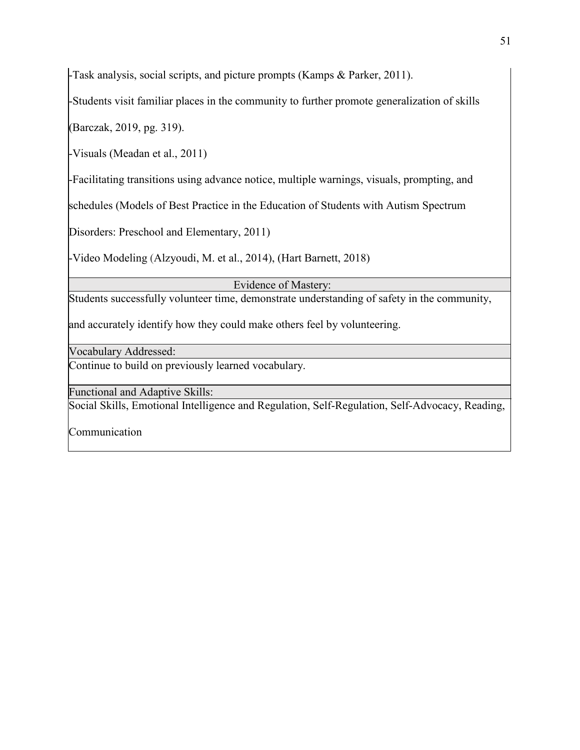-Task analysis, social scripts, and picture prompts (Kamps & Parker, 2011).

-Students visit familiar places in the community to further promote generalization of skills

(Barczak, 2019, pg. 319).

-Visuals (Meadan et al., 2011)

-Facilitating transitions using advance notice, multiple warnings, visuals, prompting, and

schedules (Models of Best Practice in the Education of Students with Autism Spectrum

Disorders: Preschool and Elementary, 2011)

-Video Modeling (Alzyoudi, M. et al., 2014), (Hart Barnett, 2018)

Evidence of Mastery:

Students successfully volunteer time, demonstrate understanding of safety in the community,

and accurately identify how they could make others feel by volunteering.

Vocabulary Addressed:

Continue to build on previously learned vocabulary.

Functional and Adaptive Skills:

Social Skills, Emotional Intelligence and Regulation, Self-Regulation, Self-Advocacy, Reading,

Communication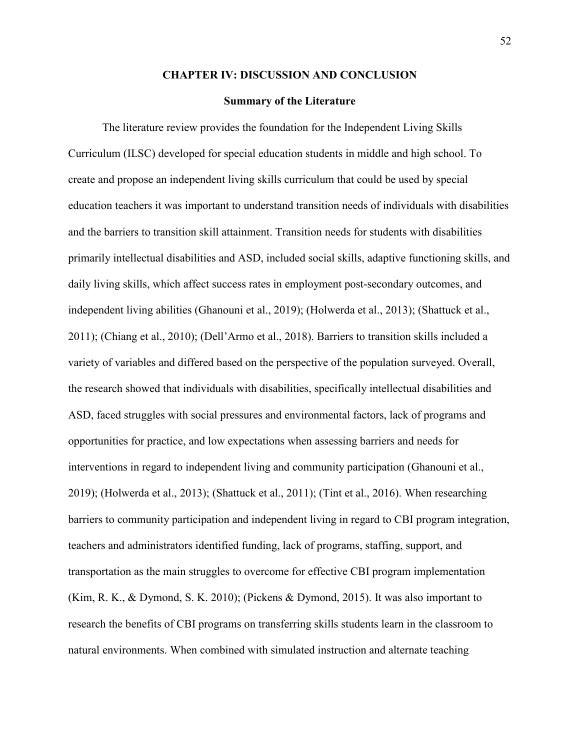#### **CHAPTER IV: DISCUSSION AND CONCLUSION**

#### **Summary of the Literature**

The literature review provides the foundation for the Independent Living Skills Curriculum (ILSC) developed for special education students in middle and high school. To create and propose an independent living skills curriculum that could be used by special education teachers it was important to understand transition needs of individuals with disabilities and the barriers to transition skill attainment. Transition needs for students with disabilities primarily intellectual disabilities and ASD, included social skills, adaptive functioning skills, and daily living skills, which affect success rates in employment post-secondary outcomes, and independent living abilities (Ghanouni et al., 2019); (Holwerda et al., 2013); (Shattuck et al., 2011); (Chiang et al., 2010); (Dell'Armo et al., 2018). Barriers to transition skills included a variety of variables and differed based on the perspective of the population surveyed. Overall, the research showed that individuals with disabilities, specifically intellectual disabilities and ASD, faced struggles with social pressures and environmental factors, lack of programs and opportunities for practice, and low expectations when assessing barriers and needs for interventions in regard to independent living and community participation (Ghanouni et al., 2019); (Holwerda et al., 2013); (Shattuck et al., 2011); (Tint et al., 2016). When researching barriers to community participation and independent living in regard to CBI program integration, teachers and administrators identified funding, lack of programs, staffing, support, and transportation as the main struggles to overcome for effective CBI program implementation (Kim, R. K., & Dymond, S. K. 2010); (Pickens & Dymond, 2015). It was also important to research the benefits of CBI programs on transferring skills students learn in the classroom to natural environments. When combined with simulated instruction and alternate teaching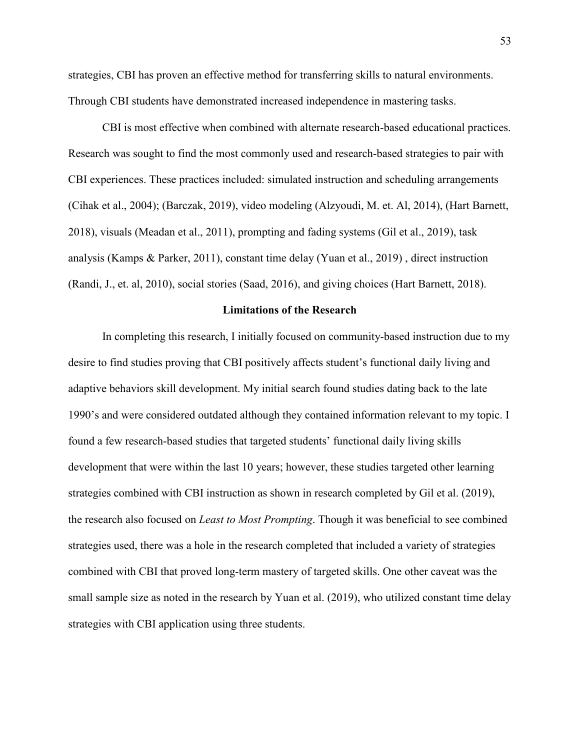strategies, CBI has proven an effective method for transferring skills to natural environments. Through CBI students have demonstrated increased independence in mastering tasks.

CBI is most effective when combined with alternate research-based educational practices. Research was sought to find the most commonly used and research-based strategies to pair with CBI experiences. These practices included: simulated instruction and scheduling arrangements (Cihak et al., 2004); (Barczak, 2019), video modeling (Alzyoudi, M. et. Al, 2014), (Hart Barnett, 2018), visuals (Meadan et al., 2011), prompting and fading systems (Gil et al., 2019), task analysis (Kamps & Parker, 2011), constant time delay (Yuan et al., 2019) , direct instruction (Randi, J., et. al, 2010), social stories (Saad, 2016), and giving choices (Hart Barnett, 2018).

#### **Limitations of the Research**

In completing this research, I initially focused on community-based instruction due to my desire to find studies proving that CBI positively affects student's functional daily living and adaptive behaviors skill development. My initial search found studies dating back to the late 1990's and were considered outdated although they contained information relevant to my topic. I found a few research-based studies that targeted students' functional daily living skills development that were within the last 10 years; however, these studies targeted other learning strategies combined with CBI instruction as shown in research completed by Gil et al. (2019), the research also focused on *Least to Most Prompting*. Though it was beneficial to see combined strategies used, there was a hole in the research completed that included a variety of strategies combined with CBI that proved long-term mastery of targeted skills. One other caveat was the small sample size as noted in the research by Yuan et al. (2019), who utilized constant time delay strategies with CBI application using three students.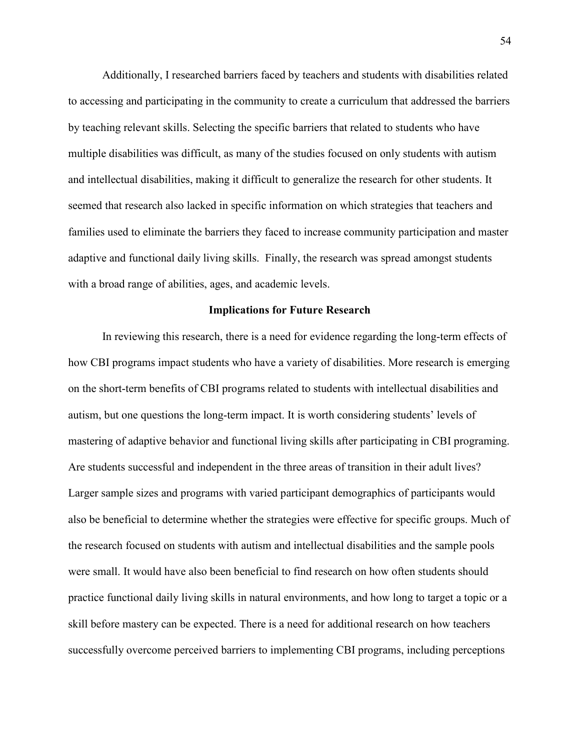Additionally, I researched barriers faced by teachers and students with disabilities related to accessing and participating in the community to create a curriculum that addressed the barriers by teaching relevant skills. Selecting the specific barriers that related to students who have multiple disabilities was difficult, as many of the studies focused on only students with autism and intellectual disabilities, making it difficult to generalize the research for other students. It seemed that research also lacked in specific information on which strategies that teachers and families used to eliminate the barriers they faced to increase community participation and master adaptive and functional daily living skills. Finally, the research was spread amongst students with a broad range of abilities, ages, and academic levels.

#### **Implications for Future Research**

In reviewing this research, there is a need for evidence regarding the long-term effects of how CBI programs impact students who have a variety of disabilities. More research is emerging on the short-term benefits of CBI programs related to students with intellectual disabilities and autism, but one questions the long-term impact. It is worth considering students' levels of mastering of adaptive behavior and functional living skills after participating in CBI programing. Are students successful and independent in the three areas of transition in their adult lives? Larger sample sizes and programs with varied participant demographics of participants would also be beneficial to determine whether the strategies were effective for specific groups. Much of the research focused on students with autism and intellectual disabilities and the sample pools were small. It would have also been beneficial to find research on how often students should practice functional daily living skills in natural environments, and how long to target a topic or a skill before mastery can be expected. There is a need for additional research on how teachers successfully overcome perceived barriers to implementing CBI programs, including perceptions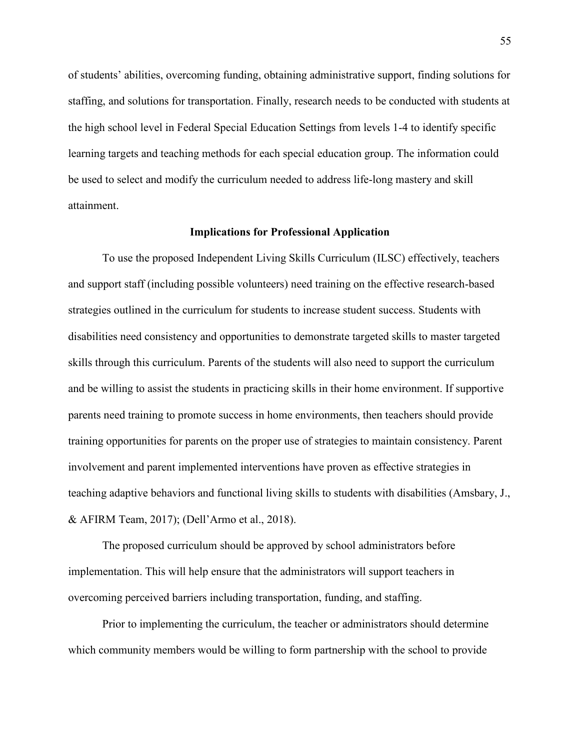of students' abilities, overcoming funding, obtaining administrative support, finding solutions for staffing, and solutions for transportation. Finally, research needs to be conducted with students at the high school level in Federal Special Education Settings from levels 1-4 to identify specific learning targets and teaching methods for each special education group. The information could be used to select and modify the curriculum needed to address life-long mastery and skill attainment.

#### **Implications for Professional Application**

To use the proposed Independent Living Skills Curriculum (ILSC) effectively, teachers and support staff (including possible volunteers) need training on the effective research-based strategies outlined in the curriculum for students to increase student success. Students with disabilities need consistency and opportunities to demonstrate targeted skills to master targeted skills through this curriculum. Parents of the students will also need to support the curriculum and be willing to assist the students in practicing skills in their home environment. If supportive parents need training to promote success in home environments, then teachers should provide training opportunities for parents on the proper use of strategies to maintain consistency. Parent involvement and parent implemented interventions have proven as effective strategies in teaching adaptive behaviors and functional living skills to students with disabilities (Amsbary, J., & AFIRM Team, 2017); (Dell'Armo et al., 2018).

The proposed curriculum should be approved by school administrators before implementation. This will help ensure that the administrators will support teachers in overcoming perceived barriers including transportation, funding, and staffing.

Prior to implementing the curriculum, the teacher or administrators should determine which community members would be willing to form partnership with the school to provide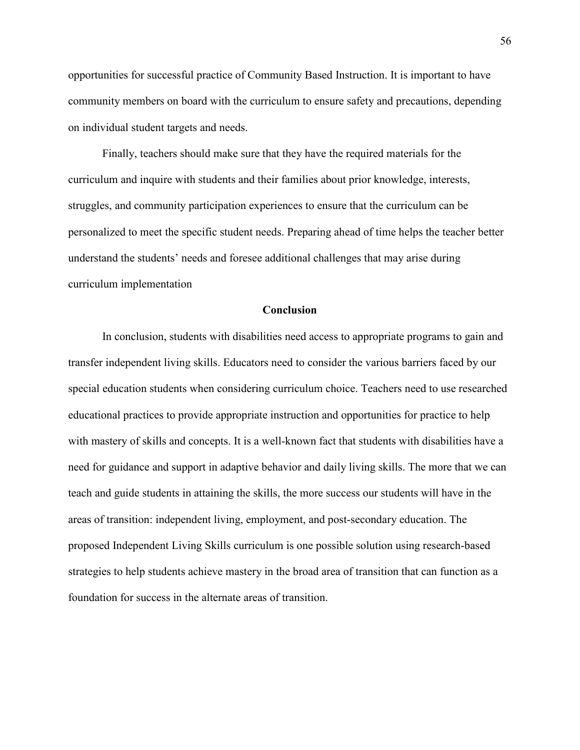opportunities for successful practice of Community Based Instruction. It is important to have community members on board with the curriculum to ensure safety and precautions, depending on individual student targets and needs.

Finally, teachers should make sure that they have the required materials for the curriculum and inquire with students and their families about prior knowledge, interests, struggles, and community participation experiences to ensure that the curriculum can be personalized to meet the specific student needs. Preparing ahead of time helps the teacher better understand the students' needs and foresee additional challenges that may arise during curriculum implementation

#### **Conclusion**

In conclusion, students with disabilities need access to appropriate programs to gain and transfer independent living skills. Educators need to consider the various barriers faced by our special education students when considering curriculum choice. Teachers need to use researched educational practices to provide appropriate instruction and opportunities for practice to help with mastery of skills and concepts. It is a well-known fact that students with disabilities have a need for guidance and support in adaptive behavior and daily living skills. The more that we can teach and guide students in attaining the skills, the more success our students will have in the areas of transition: independent living, employment, and post-secondary education. The proposed Independent Living Skills curriculum is one possible solution using research-based strategies to help students achieve mastery in the broad area of transition that can function as a foundation for success in the alternate areas of transition.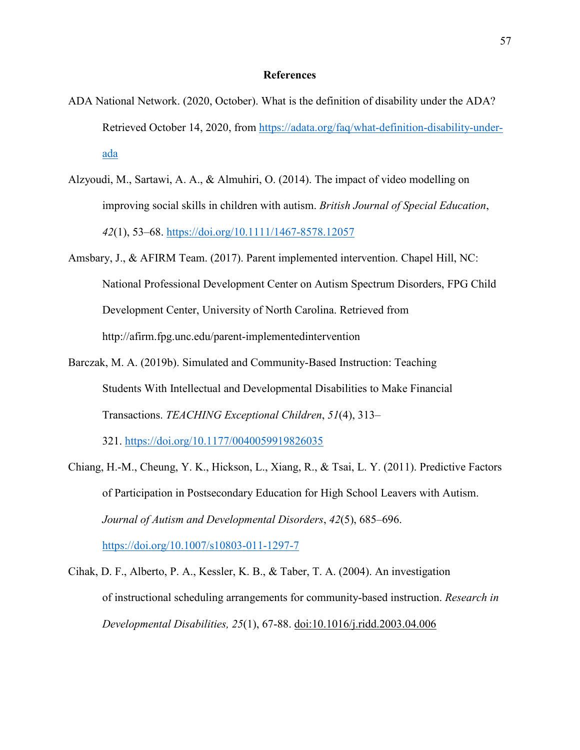#### **References**

- ADA National Network. (2020, October). What is the definition of disability under the ADA? Retrieved October 14, 2020, from [https://adata.org/faq/what-definition-disability-under](https://adata.org/faq/what-definition-disability-under-%20ada)[ada](https://adata.org/faq/what-definition-disability-under-%20ada)
- Alzyoudi, M., Sartawi, A. A., & Almuhiri, O. (2014). The impact of video modelling on improving social skills in children with autism. *British Journal of Special Education*, *42*(1), 53–68.<https://doi.org/10.1111/1467-8578.12057>
- Amsbary, J., & AFIRM Team. (2017). Parent implemented intervention. Chapel Hill, NC: National Professional Development Center on Autism Spectrum Disorders, FPG Child Development Center, University of North Carolina. Retrieved from http://afirm.fpg.unc.edu/parent-implementedintervention
- Barczak, M. A. (2019b). Simulated and Community-Based Instruction: Teaching Students With Intellectual and Developmental Disabilities to Make Financial Transactions. *TEACHING Exceptional Children*, *51*(4), 313–

321.<https://doi.org/10.1177/0040059919826035>

Chiang, H.-M., Cheung, Y. K., Hickson, L., Xiang, R., & Tsai, L. Y. (2011). Predictive Factors of Participation in Postsecondary Education for High School Leavers with Autism. *Journal of Autism and Developmental Disorders*, *42*(5), 685–696. <https://doi.org/10.1007/s10803-011-1297-7>

Cihak, D. F., Alberto, P. A., Kessler, K. B., & Taber, T. A. (2004). An investigation of instructional scheduling arrangements for community-based instruction. *Research in Developmental Disabilities, 25*(1), 67-88. doi:10.1016/j.ridd.2003.04.006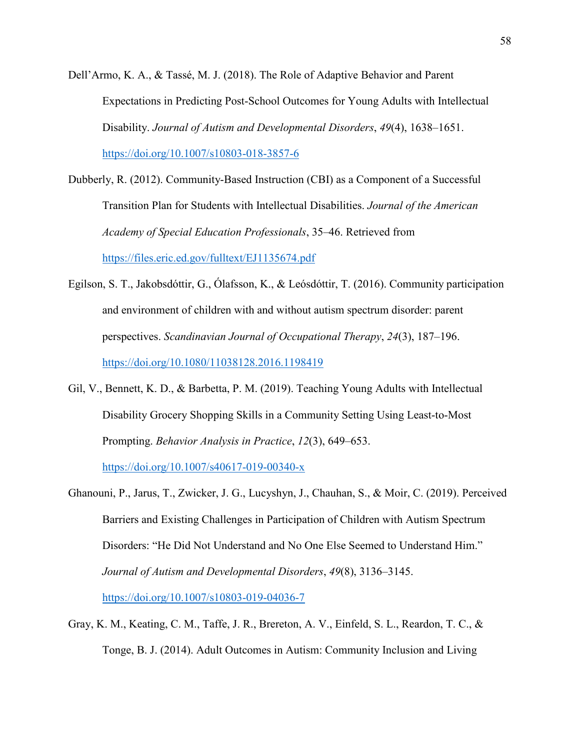Dell'Armo, K. A., & Tassé, M. J. (2018). The Role of Adaptive Behavior and Parent Expectations in Predicting Post-School Outcomes for Young Adults with Intellectual Disability. *Journal of Autism and Developmental Disorders*, *49*(4), 1638–1651. <https://doi.org/10.1007/s10803-018-3857-6>

- Dubberly, R. (2012). Community-Based Instruction (CBI) as a Component of a Successful Transition Plan for Students with Intellectual Disabilities. *Journal of the American Academy of Special Education Professionals*, 35–46. Retrieved from <https://files.eric.ed.gov/fulltext/EJ1135674.pdf>
- Egilson, S. T., Jakobsdóttir, G., Ólafsson, K., & Leósdóttir, T. (2016). Community participation and environment of children with and without autism spectrum disorder: parent perspectives. *Scandinavian Journal of Occupational Therapy*, *24*(3), 187–196. <https://doi.org/10.1080/11038128.2016.1198419>
- Gil, V., Bennett, K. D., & Barbetta, P. M. (2019). Teaching Young Adults with Intellectual Disability Grocery Shopping Skills in a Community Setting Using Least-to-Most Prompting. *Behavior Analysis in Practice*, *12*(3), 649–653.

<https://doi.org/10.1007/s40617-019-00340-x>

Ghanouni, P., Jarus, T., Zwicker, J. G., Lucyshyn, J., Chauhan, S., & Moir, C. (2019). Perceived Barriers and Existing Challenges in Participation of Children with Autism Spectrum Disorders: "He Did Not Understand and No One Else Seemed to Understand Him." *Journal of Autism and Developmental Disorders*, *49*(8), 3136–3145.

<https://doi.org/10.1007/s10803-019-04036-7>

Gray, K. M., Keating, C. M., Taffe, J. R., Brereton, A. V., Einfeld, S. L., Reardon, T. C., & Tonge, B. J. (2014). Adult Outcomes in Autism: Community Inclusion and Living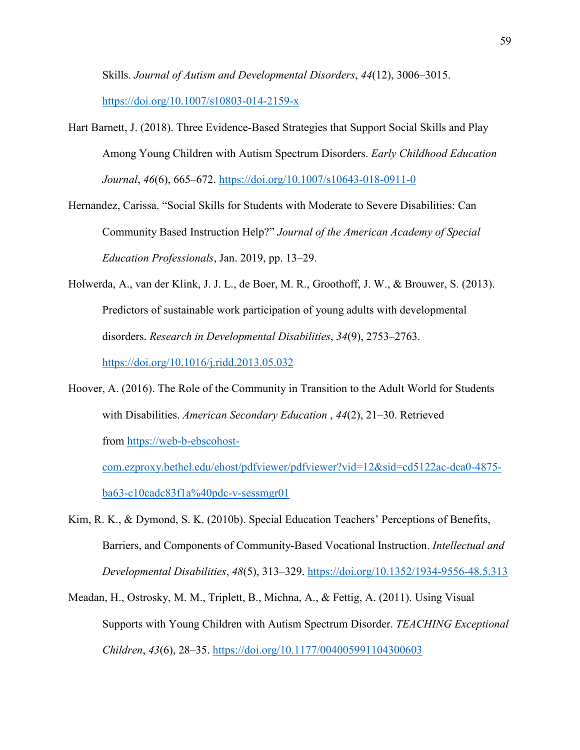Skills. *Journal of Autism and Developmental Disorders*, *44*(12), 3006–3015.

<https://doi.org/10.1007/s10803-014-2159-x>

- Hart Barnett, J. (2018). Three Evidence-Based Strategies that Support Social Skills and Play Among Young Children with Autism Spectrum Disorders. *Early Childhood Education Journal*, *46*(6), 665–672.<https://doi.org/10.1007/s10643-018-0911-0>
- Hernandez, Carissa. "Social Skills for Students with Moderate to Severe Disabilities: Can Community Based Instruction Help?" *Journal of the American Academy of Special Education Professionals*, Jan. 2019, pp. 13–29.
- Holwerda, A., van der Klink, J. J. L., de Boer, M. R., Groothoff, J. W., & Brouwer, S. (2013). Predictors of sustainable work participation of young adults with developmental disorders. *Research in Developmental Disabilities*, *34*(9), 2753–2763.

<https://doi.org/10.1016/j.ridd.2013.05.032>

Hoover, A. (2016). The Role of the Community in Transition to the Adult World for Students with Disabilities. *American Secondary Education* , *44*(2), 21–30. Retrieved from [https://web-b-ebscohost-](https://web-b-ebscohost-com.ezproxy.bethel.edu/ehost/pdfviewer/pdfviewer?vid=12&sid=cd5122ac-dca0-4875-ba63-c10cadc83f1a%40pdc-v-sessmgr01)

[com.ezproxy.bethel.edu/ehost/pdfviewer/pdfviewer?vid=12&sid=cd5122ac-dca0-4875](https://web-b-ebscohost-com.ezproxy.bethel.edu/ehost/pdfviewer/pdfviewer?vid=12&sid=cd5122ac-dca0-4875-ba63-c10cadc83f1a%40pdc-v-sessmgr01) [ba63-c10cadc83f1a%40pdc-v-sessmgr01](https://web-b-ebscohost-com.ezproxy.bethel.edu/ehost/pdfviewer/pdfviewer?vid=12&sid=cd5122ac-dca0-4875-ba63-c10cadc83f1a%40pdc-v-sessmgr01) 

- Kim, R. K., & Dymond, S. K. (2010b). Special Education Teachers' Perceptions of Benefits, Barriers, and Components of Community-Based Vocational Instruction. *Intellectual and Developmental Disabilities*, *48*(5), 313–329.<https://doi.org/10.1352/1934-9556-48.5.313>
- Meadan, H., Ostrosky, M. M., Triplett, B., Michna, A., & Fettig, A. (2011). Using Visual Supports with Young Children with Autism Spectrum Disorder. *TEACHING Exceptional Children*, *43*(6), 28–35.<https://doi.org/10.1177/004005991104300603>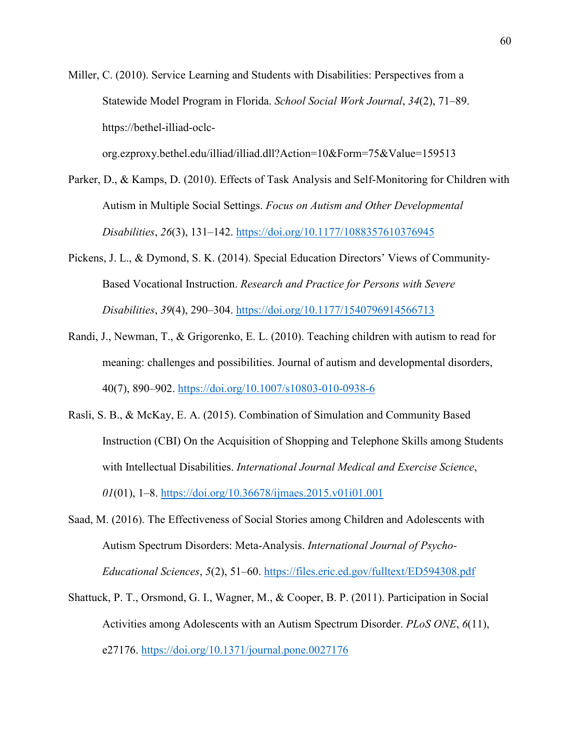Miller, C. (2010). Service Learning and Students with Disabilities: Perspectives from a Statewide Model Program in Florida. *School Social Work Journal*, *34*(2), 71–89. https://bethel-illiad-oclc-

org.ezproxy.bethel.edu/illiad/illiad.dll?Action=10&Form=75&Value=159513

- Parker, D., & Kamps, D. (2010). Effects of Task Analysis and Self-Monitoring for Children with Autism in Multiple Social Settings. *Focus on Autism and Other Developmental Disabilities*, *26*(3), 131–142.<https://doi.org/10.1177/1088357610376945>
- Pickens, J. L., & Dymond, S. K. (2014). Special Education Directors' Views of Community-Based Vocational Instruction. *Research and Practice for Persons with Severe Disabilities*, *39*(4), 290–304.<https://doi.org/10.1177/1540796914566713>
- Randi, J., Newman, T., & Grigorenko, E. L. (2010). Teaching children with autism to read for meaning: challenges and possibilities. Journal of autism and developmental disorders, 40(7), 890–902.<https://doi.org/10.1007/s10803-010-0938-6>
- Rasli, S. B., & McKay, E. A. (2015). Combination of Simulation and Community Based Instruction (CBI) On the Acquisition of Shopping and Telephone Skills among Students with Intellectual Disabilities. *International Journal Medical and Exercise Science*, *01*(01), 1–8.<https://doi.org/10.36678/ijmaes.2015.v01i01.001>
- Saad, M. (2016). The Effectiveness of Social Stories among Children and Adolescents with Autism Spectrum Disorders: Meta-Analysis. *International Journal of Psycho-Educational Sciences*, *5*(2), 51–60.<https://files.eric.ed.gov/fulltext/ED594308.pdf>
- Shattuck, P. T., Orsmond, G. I., Wagner, M., & Cooper, B. P. (2011). Participation in Social Activities among Adolescents with an Autism Spectrum Disorder. *PLoS ONE*, *6*(11), e27176.<https://doi.org/10.1371/journal.pone.0027176>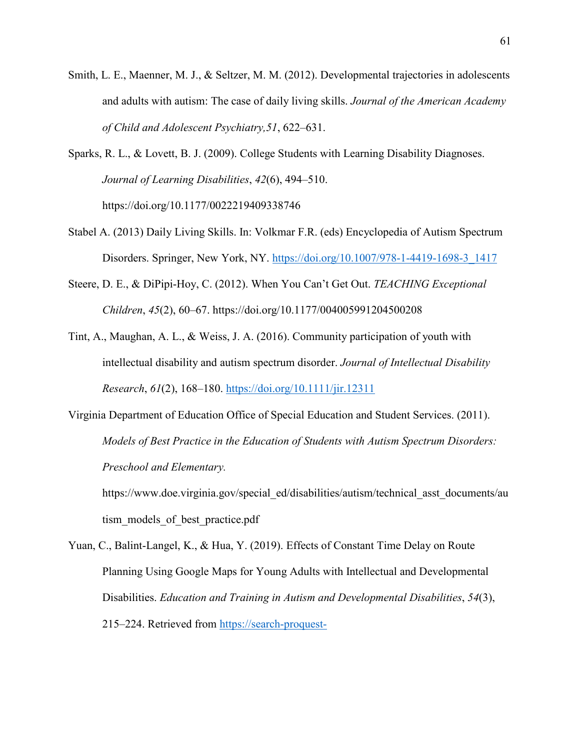- Smith, L. E., Maenner, M. J., & Seltzer, M. M. (2012). Developmental trajectories in adolescents and adults with autism: The case of daily living skills. *Journal of the American Academy of Child and Adolescent Psychiatry,51*, 622–631.
- Sparks, R. L., & Lovett, B. J. (2009). College Students with Learning Disability Diagnoses. *Journal of Learning Disabilities*, *42*(6), 494–510. https://doi.org/10.1177/0022219409338746
- Stabel A. (2013) Daily Living Skills. In: Volkmar F.R. (eds) Encyclopedia of Autism Spectrum Disorders. Springer, New York, NY. [https://doi.org/10.1007/978-1-4419-1698-3\\_1417](https://doi.org/10.1007/978-1-4419-1698-3_1417)
- Steere, D. E., & DiPipi-Hoy, C. (2012). When You Can't Get Out. *TEACHING Exceptional Children*, *45*(2), 60–67. https://doi.org/10.1177/004005991204500208
- Tint, A., Maughan, A. L., & Weiss, J. A. (2016). Community participation of youth with intellectual disability and autism spectrum disorder. *Journal of Intellectual Disability Research*, *61*(2), 168–180.<https://doi.org/10.1111/jir.12311>
- Virginia Department of Education Office of Special Education and Student Services. (2011). *Models of Best Practice in the Education of Students with Autism Spectrum Disorders: Preschool and Elementary.*

https://www.doe.virginia.gov/special\_ed/disabilities/autism/technical\_asst\_documents/au tism models of best practice.pdf

Yuan, C., Balint-Langel, K., & Hua, Y. (2019). Effects of Constant Time Delay on Route Planning Using Google Maps for Young Adults with Intellectual and Developmental Disabilities. *Education and Training in Autism and Developmental Disabilities*, *54*(3), 215–224. Retrieved from [https://search-proquest-](https://search-proquest-com.ezproxy.bethel.edu/docview/2298729726/fulltextPDF/B32DC081E89F4A2CPQ/1?accountid=8593)